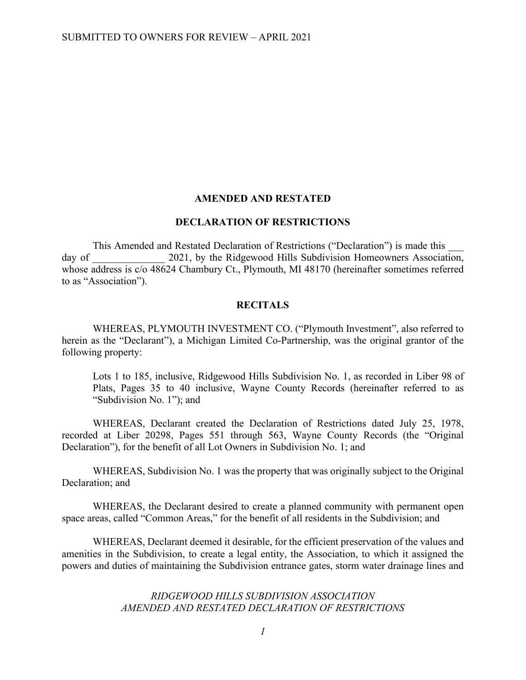#### **AMENDED AND RESTATED**

### **DECLARATION OF RESTRICTIONS**

This Amended and Restated Declaration of Restrictions ("Declaration") is made this day of 2021, by the Ridgewood Hills Subdivision Homeowners Association, whose address is c/o 48624 Chambury Ct., Plymouth, MI 48170 (hereinafter sometimes referred to as "Association").

#### **RECITALS**

WHEREAS, PLYMOUTH INVESTMENT CO. ("Plymouth Investment", also referred to herein as the "Declarant"), a Michigan Limited Co-Partnership, was the original grantor of the following property:

Lots 1 to 185, inclusive, Ridgewood Hills Subdivision No. 1, as recorded in Liber 98 of Plats, Pages 35 to 40 inclusive, Wayne County Records (hereinafter referred to as "Subdivision No. 1"); and

WHEREAS, Declarant created the Declaration of Restrictions dated July 25, 1978, recorded at Liber 20298, Pages 551 through 563, Wayne County Records (the "Original Declaration"), for the benefit of all Lot Owners in Subdivision No. 1; and

WHEREAS, Subdivision No. 1 was the property that was originally subject to the Original Declaration; and

WHEREAS, the Declarant desired to create a planned community with permanent open space areas, called "Common Areas," for the benefit of all residents in the Subdivision; and

WHEREAS, Declarant deemed it desirable, for the efficient preservation of the values and amenities in the Subdivision, to create a legal entity, the Association, to which it assigned the powers and duties of maintaining the Subdivision entrance gates, storm water drainage lines and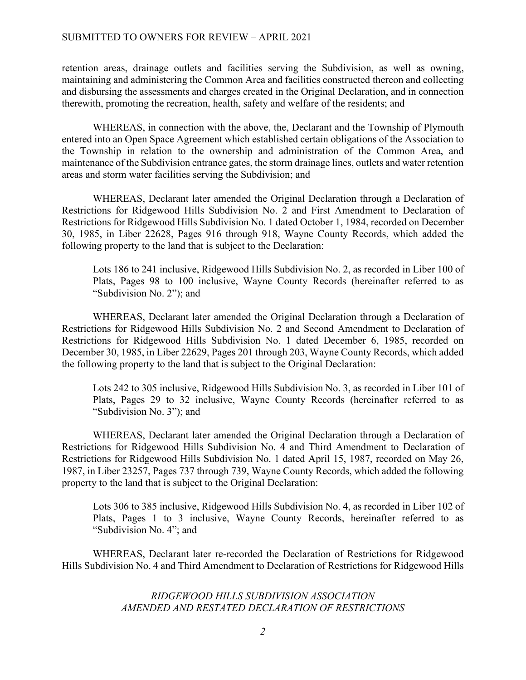### SUBMITTED TO OWNERS FOR REVIEW – APRIL 2021

retention areas, drainage outlets and facilities serving the Subdivision, as well as owning, maintaining and administering the Common Area and facilities constructed thereon and collecting and disbursing the assessments and charges created in the Original Declaration, and in connection therewith, promoting the recreation, health, safety and welfare of the residents; and

WHEREAS, in connection with the above, the, Declarant and the Township of Plymouth entered into an Open Space Agreement which established certain obligations of the Association to the Township in relation to the ownership and administration of the Common Area, and maintenance of the Subdivision entrance gates, the storm drainage lines, outlets and water retention areas and storm water facilities serving the Subdivision; and

WHEREAS, Declarant later amended the Original Declaration through a Declaration of Restrictions for Ridgewood Hills Subdivision No. 2 and First Amendment to Declaration of Restrictions for Ridgewood Hills Subdivision No. 1 dated October 1, 1984, recorded on December 30, 1985, in Liber 22628, Pages 916 through 918, Wayne County Records, which added the following property to the land that is subject to the Declaration:

Lots 186 to 241 inclusive, Ridgewood Hills Subdivision No. 2, as recorded in Liber 100 of Plats, Pages 98 to 100 inclusive, Wayne County Records (hereinafter referred to as "Subdivision No. 2"); and

WHEREAS, Declarant later amended the Original Declaration through a Declaration of Restrictions for Ridgewood Hills Subdivision No. 2 and Second Amendment to Declaration of Restrictions for Ridgewood Hills Subdivision No. 1 dated December 6, 1985, recorded on December 30, 1985, in Liber 22629, Pages 201 through 203, Wayne County Records, which added the following property to the land that is subject to the Original Declaration:

Lots 242 to 305 inclusive, Ridgewood Hills Subdivision No. 3, as recorded in Liber 101 of Plats, Pages 29 to 32 inclusive, Wayne County Records (hereinafter referred to as "Subdivision No. 3"); and

WHEREAS, Declarant later amended the Original Declaration through a Declaration of Restrictions for Ridgewood Hills Subdivision No. 4 and Third Amendment to Declaration of Restrictions for Ridgewood Hills Subdivision No. 1 dated April 15, 1987, recorded on May 26, 1987, in Liber 23257, Pages 737 through 739, Wayne County Records, which added the following property to the land that is subject to the Original Declaration:

Lots 306 to 385 inclusive, Ridgewood Hills Subdivision No. 4, as recorded in Liber 102 of Plats, Pages 1 to 3 inclusive, Wayne County Records, hereinafter referred to as "Subdivision No. 4"; and

WHEREAS, Declarant later re-recorded the Declaration of Restrictions for Ridgewood Hills Subdivision No. 4 and Third Amendment to Declaration of Restrictions for Ridgewood Hills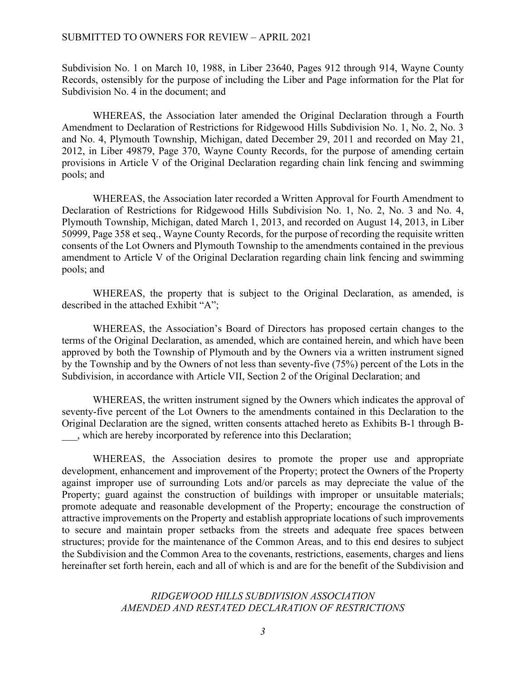Subdivision No. 1 on March 10, 1988, in Liber 23640, Pages 912 through 914, Wayne County Records, ostensibly for the purpose of including the Liber and Page information for the Plat for Subdivision No. 4 in the document; and

WHEREAS, the Association later amended the Original Declaration through a Fourth Amendment to Declaration of Restrictions for Ridgewood Hills Subdivision No. 1, No. 2, No. 3 and No. 4, Plymouth Township, Michigan, dated December 29, 2011 and recorded on May 21, 2012, in Liber 49879, Page 370, Wayne County Records, for the purpose of amending certain provisions in Article V of the Original Declaration regarding chain link fencing and swimming pools; and

WHEREAS, the Association later recorded a Written Approval for Fourth Amendment to Declaration of Restrictions for Ridgewood Hills Subdivision No. 1, No. 2, No. 3 and No. 4, Plymouth Township, Michigan, dated March 1, 2013, and recorded on August 14, 2013, in Liber 50999, Page 358 et seq., Wayne County Records, for the purpose of recording the requisite written consents of the Lot Owners and Plymouth Township to the amendments contained in the previous amendment to Article V of the Original Declaration regarding chain link fencing and swimming pools; and

WHEREAS, the property that is subject to the Original Declaration, as amended, is described in the attached Exhibit "A";

WHEREAS, the Association's Board of Directors has proposed certain changes to the terms of the Original Declaration, as amended, which are contained herein, and which have been approved by both the Township of Plymouth and by the Owners via a written instrument signed by the Township and by the Owners of not less than seventy-five (75%) percent of the Lots in the Subdivision, in accordance with Article VII, Section 2 of the Original Declaration; and

WHEREAS, the written instrument signed by the Owners which indicates the approval of seventy-five percent of the Lot Owners to the amendments contained in this Declaration to the Original Declaration are the signed, written consents attached hereto as Exhibits B-1 through B- \_\_\_, which are hereby incorporated by reference into this Declaration;

WHEREAS, the Association desires to promote the proper use and appropriate development, enhancement and improvement of the Property; protect the Owners of the Property against improper use of surrounding Lots and/or parcels as may depreciate the value of the Property; guard against the construction of buildings with improper or unsuitable materials; promote adequate and reasonable development of the Property; encourage the construction of attractive improvements on the Property and establish appropriate locations of such improvements to secure and maintain proper setbacks from the streets and adequate free spaces between structures; provide for the maintenance of the Common Areas, and to this end desires to subject the Subdivision and the Common Area to the covenants, restrictions, easements, charges and liens hereinafter set forth herein, each and all of which is and are for the benefit of the Subdivision and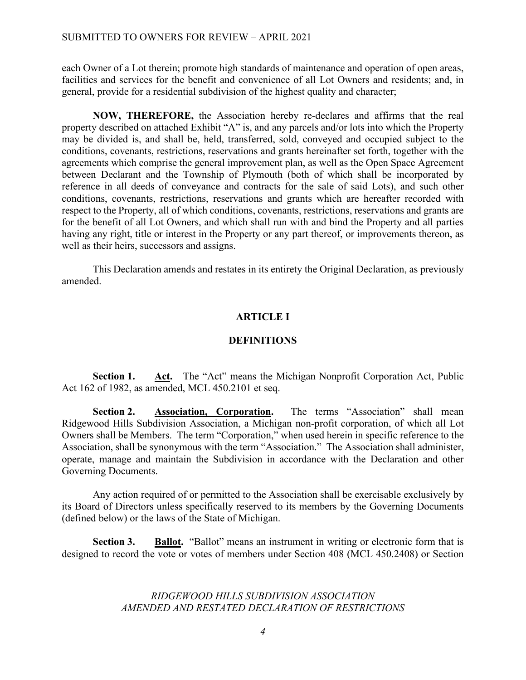each Owner of a Lot therein; promote high standards of maintenance and operation of open areas, facilities and services for the benefit and convenience of all Lot Owners and residents; and, in general, provide for a residential subdivision of the highest quality and character;

**NOW, THEREFORE,** the Association hereby re-declares and affirms that the real property described on attached Exhibit "A" is, and any parcels and/or lots into which the Property may be divided is, and shall be, held, transferred, sold, conveyed and occupied subject to the conditions, covenants, restrictions, reservations and grants hereinafter set forth, together with the agreements which comprise the general improvement plan, as well as the Open Space Agreement between Declarant and the Township of Plymouth (both of which shall be incorporated by reference in all deeds of conveyance and contracts for the sale of said Lots), and such other conditions, covenants, restrictions, reservations and grants which are hereafter recorded with respect to the Property, all of which conditions, covenants, restrictions, reservations and grants are for the benefit of all Lot Owners, and which shall run with and bind the Property and all parties having any right, title or interest in the Property or any part thereof, or improvements thereon, as well as their heirs, successors and assigns.

This Declaration amends and restates in its entirety the Original Declaration, as previously amended.

## **ARTICLE I**

## **DEFINITIONS**

**Section 1.** Act. The "Act" means the Michigan Nonprofit Corporation Act, Public Act 162 of 1982, as amended, MCL 450.2101 et seq.

**Section 2. Association, Corporation.** The terms "Association" shall mean Ridgewood Hills Subdivision Association, a Michigan non-profit corporation, of which all Lot Owners shall be Members. The term "Corporation," when used herein in specific reference to the Association, shall be synonymous with the term "Association." The Association shall administer, operate, manage and maintain the Subdivision in accordance with the Declaration and other Governing Documents.

Any action required of or permitted to the Association shall be exercisable exclusively by its Board of Directors unless specifically reserved to its members by the Governing Documents (defined below) or the laws of the State of Michigan.

**Section 3. Ballot.** "Ballot" means an instrument in writing or electronic form that is designed to record the vote or votes of members under Section 408 (MCL 450.2408) or Section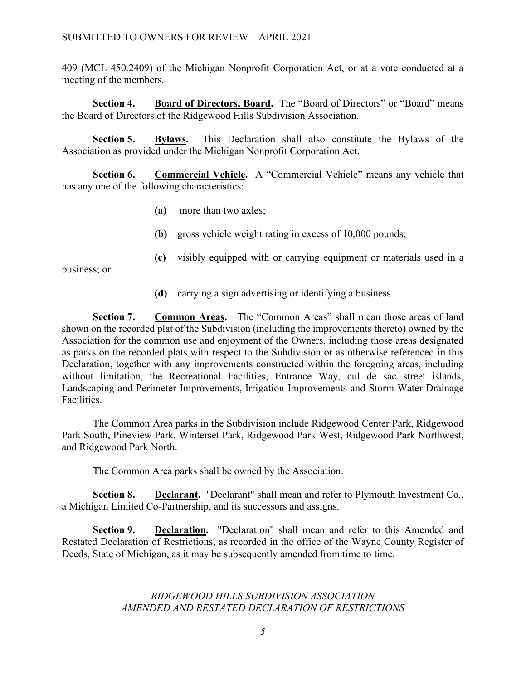409 (MCL 450.2409) of the Michigan Nonprofit Corporation Act, or at a vote conducted at a meeting of the members.

**Section 4. Board of Directors, Board.** The "Board of Directors" or "Board" means the Board of Directors of the Ridgewood Hills Subdivision Association.

**Section 5. Bylaws.** This Declaration shall also constitute the Bylaws of the Association as provided under the Michigan Nonprofit Corporation Act.

**Section 6. Commercial Vehicle.** A "Commercial Vehicle" means any vehicle that has any one of the following characteristics:

- **(a)** more than two axles;
- **(b)** gross vehicle weight rating in excess of 10,000 pounds;
- **(c)** visibly equipped with or carrying equipment or materials used in a

business; or

**(d)** carrying a sign advertising or identifying a business.

**Section 7. Common Areas.** The "Common Areas" shall mean those areas of land shown on the recorded plat of the Subdivision (including the improvements thereto) owned by the Association for the common use and enjoyment of the Owners, including those areas designated as parks on the recorded plats with respect to the Subdivision or as otherwise referenced in this Declaration, together with any improvements constructed within the foregoing areas, including without limitation, the Recreational Facilities, Entrance Way, cul de sac street islands, Landscaping and Perimeter Improvements, Irrigation Improvements and Storm Water Drainage Facilities.

The Common Area parks in the Subdivision include Ridgewood Center Park, Ridgewood Park South, Pineview Park, Winterset Park, Ridgewood Park West, Ridgewood Park Northwest, and Ridgewood Park North.

The Common Area parks shall be owned by the Association.

**Section 8. Declarant.** "Declarant" shall mean and refer to Plymouth Investment Co., a Michigan Limited Co-Partnership, and its successors and assigns.

**Section 9. Declaration.** "Declaration" shall mean and refer to this Amended and Restated Declaration of Restrictions, as recorded in the office of the Wayne County Register of Deeds, State of Michigan, as it may be subsequently amended from time to time.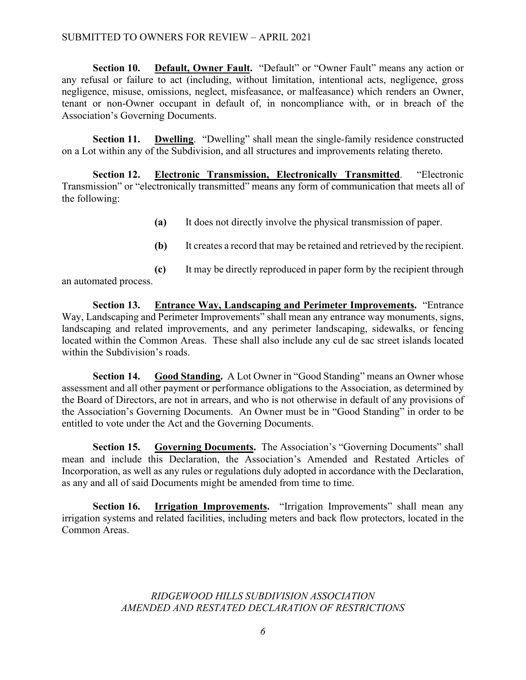## SUBMITTED TO OWNERS FOR REVIEW – APRIL 2021

**Section 10. Default, Owner Fault.** "Default" or "Owner Fault" means any action or any refusal or failure to act (including, without limitation, intentional acts, negligence, gross negligence, misuse, omissions, neglect, misfeasance, or malfeasance) which renders an Owner, tenant or non-Owner occupant in default of, in noncompliance with, or in breach of the Association's Governing Documents.

**Section 11. Dwelling**. "Dwelling" shall mean the single-family residence constructed on a Lot within any of the Subdivision, and all structures and improvements relating thereto.

**Section 12. Electronic Transmission, Electronically Transmitted**. "Electronic Transmission" or "electronically transmitted" means any form of communication that meets all of the following:

- **(a)** It does not directly involve the physical transmission of paper.
- **(b)** It creates a record that may be retained and retrieved by the recipient.
- **(c)** It may be directly reproduced in paper form by the recipient through an automated process.

**Section 13. Entrance Way, Landscaping and Perimeter Improvements.** "Entrance Way, Landscaping and Perimeter Improvements" shall mean any entrance way monuments, signs, landscaping and related improvements, and any perimeter landscaping, sidewalks, or fencing located within the Common Areas. These shall also include any cul de sac street islands located within the Subdivision's roads.

**Section 14. Good Standing.** A Lot Owner in "Good Standing" means an Owner whose assessment and all other payment or performance obligations to the Association, as determined by the Board of Directors, are not in arrears, and who is not otherwise in default of any provisions of the Association's Governing Documents. An Owner must be in "Good Standing" in order to be entitled to vote under the Act and the Governing Documents.

**Section 15. Governing Documents.** The Association's "Governing Documents" shall mean and include this Declaration, the Association's Amended and Restated Articles of Incorporation, as well as any rules or regulations duly adopted in accordance with the Declaration, as any and all of said Documents might be amended from time to time.

**Section 16. Irrigation Improvements.** "Irrigation Improvements" shall mean any irrigation systems and related facilities, including meters and back flow protectors, located in the Common Areas.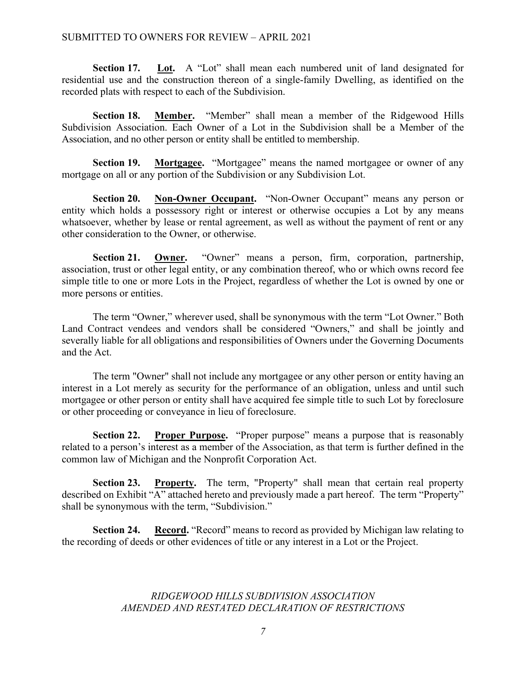**Section 17. Lot.** A "Lot" shall mean each numbered unit of land designated for residential use and the construction thereon of a single-family Dwelling, as identified on the recorded plats with respect to each of the Subdivision.

**Section 18. Member.** "Member" shall mean a member of the Ridgewood Hills Subdivision Association. Each Owner of a Lot in the Subdivision shall be a Member of the Association, and no other person or entity shall be entitled to membership.

**Section 19.** Mortgagee. "Mortgagee" means the named mortgagee or owner of any mortgage on all or any portion of the Subdivision or any Subdivision Lot.

**Section 20. Non-Owner Occupant.** "Non-Owner Occupant" means any person or entity which holds a possessory right or interest or otherwise occupies a Lot by any means whatsoever, whether by lease or rental agreement, as well as without the payment of rent or any other consideration to the Owner, or otherwise.

**Section 21. Owner.** "Owner" means a person, firm, corporation, partnership, association, trust or other legal entity, or any combination thereof, who or which owns record fee simple title to one or more Lots in the Project, regardless of whether the Lot is owned by one or more persons or entities.

The term "Owner," wherever used, shall be synonymous with the term "Lot Owner." Both Land Contract vendees and vendors shall be considered "Owners," and shall be jointly and severally liable for all obligations and responsibilities of Owners under the Governing Documents and the Act.

The term "Owner" shall not include any mortgagee or any other person or entity having an interest in a Lot merely as security for the performance of an obligation, unless and until such mortgagee or other person or entity shall have acquired fee simple title to such Lot by foreclosure or other proceeding or conveyance in lieu of foreclosure.

**Section 22. Proper Purpose.** "Proper purpose" means a purpose that is reasonably related to a person's interest as a member of the Association, as that term is further defined in the common law of Michigan and the Nonprofit Corporation Act.

**Section 23. Property.** The term, "Property" shall mean that certain real property described on Exhibit "A" attached hereto and previously made a part hereof. The term "Property" shall be synonymous with the term, "Subdivision."

**Section 24. Record.** "Record" means to record as provided by Michigan law relating to the recording of deeds or other evidences of title or any interest in a Lot or the Project.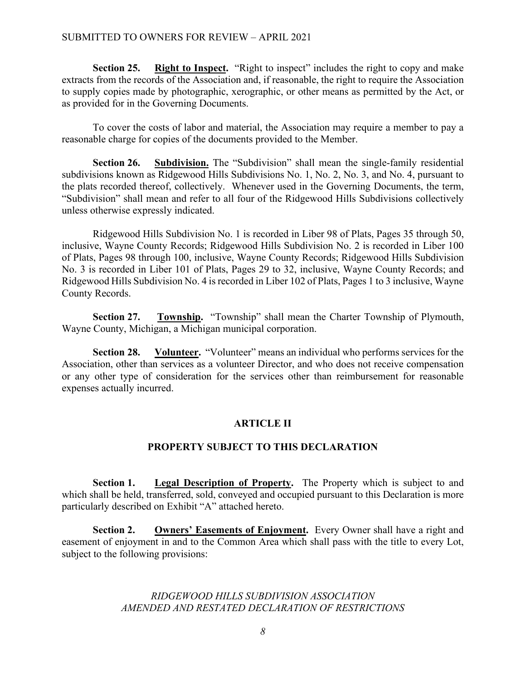### SUBMITTED TO OWNERS FOR REVIEW – APRIL 2021

**Section 25. Right to Inspect.** "Right to inspect" includes the right to copy and make extracts from the records of the Association and, if reasonable, the right to require the Association to supply copies made by photographic, xerographic, or other means as permitted by the Act, or as provided for in the Governing Documents.

To cover the costs of labor and material, the Association may require a member to pay a reasonable charge for copies of the documents provided to the Member.

**Section 26. Subdivision.** The "Subdivision" shall mean the single-family residential subdivisions known as Ridgewood Hills Subdivisions No. 1, No. 2, No. 3, and No. 4, pursuant to the plats recorded thereof, collectively. Whenever used in the Governing Documents, the term, "Subdivision" shall mean and refer to all four of the Ridgewood Hills Subdivisions collectively unless otherwise expressly indicated.

Ridgewood Hills Subdivision No. 1 is recorded in Liber 98 of Plats, Pages 35 through 50, inclusive, Wayne County Records; Ridgewood Hills Subdivision No. 2 is recorded in Liber 100 of Plats, Pages 98 through 100, inclusive, Wayne County Records; Ridgewood Hills Subdivision No. 3 is recorded in Liber 101 of Plats, Pages 29 to 32, inclusive, Wayne County Records; and Ridgewood Hills Subdivision No. 4 is recorded in Liber 102 of Plats, Pages 1 to 3 inclusive, Wayne County Records.

**Section 27. Township.** "Township" shall mean the Charter Township of Plymouth, Wayne County, Michigan, a Michigan municipal corporation.

**Section 28. Volunteer.** "Volunteer" means an individual who performs services for the Association, other than services as a volunteer Director, and who does not receive compensation or any other type of consideration for the services other than reimbursement for reasonable expenses actually incurred.

### **ARTICLE II**

### **PROPERTY SUBJECT TO THIS DECLARATION**

**Section 1. Legal Description of Property.** The Property which is subject to and which shall be held, transferred, sold, conveyed and occupied pursuant to this Declaration is more particularly described on Exhibit "A" attached hereto.

**Section 2. Owners' Easements of Enjoyment.** Every Owner shall have a right and easement of enjoyment in and to the Common Area which shall pass with the title to every Lot, subject to the following provisions: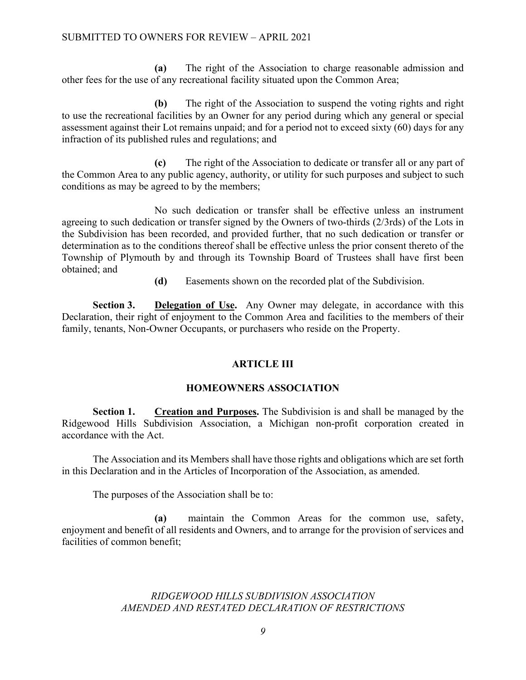**(a)** The right of the Association to charge reasonable admission and other fees for the use of any recreational facility situated upon the Common Area;

**(b)** The right of the Association to suspend the voting rights and right to use the recreational facilities by an Owner for any period during which any general or special assessment against their Lot remains unpaid; and for a period not to exceed sixty (60) days for any infraction of its published rules and regulations; and

**(c)** The right of the Association to dedicate or transfer all or any part of the Common Area to any public agency, authority, or utility for such purposes and subject to such conditions as may be agreed to by the members;

No such dedication or transfer shall be effective unless an instrument agreeing to such dedication or transfer signed by the Owners of two-thirds (2/3rds) of the Lots in the Subdivision has been recorded, and provided further, that no such dedication or transfer or determination as to the conditions thereof shall be effective unless the prior consent thereto of the Township of Plymouth by and through its Township Board of Trustees shall have first been obtained; and

**(d)** Easements shown on the recorded plat of the Subdivision.

**Section 3.** Delegation of Use. Any Owner may delegate, in accordance with this Declaration, their right of enjoyment to the Common Area and facilities to the members of their family, tenants, Non-Owner Occupants, or purchasers who reside on the Property.

## **ARTICLE III**

## **HOMEOWNERS ASSOCIATION**

**Section 1. Creation and Purposes.** The Subdivision is and shall be managed by the Ridgewood Hills Subdivision Association, a Michigan non-profit corporation created in accordance with the Act.

The Association and its Members shall have those rights and obligations which are set forth in this Declaration and in the Articles of Incorporation of the Association, as amended.

The purposes of the Association shall be to:

**(a)** maintain the Common Areas for the common use, safety, enjoyment and benefit of all residents and Owners, and to arrange for the provision of services and facilities of common benefit;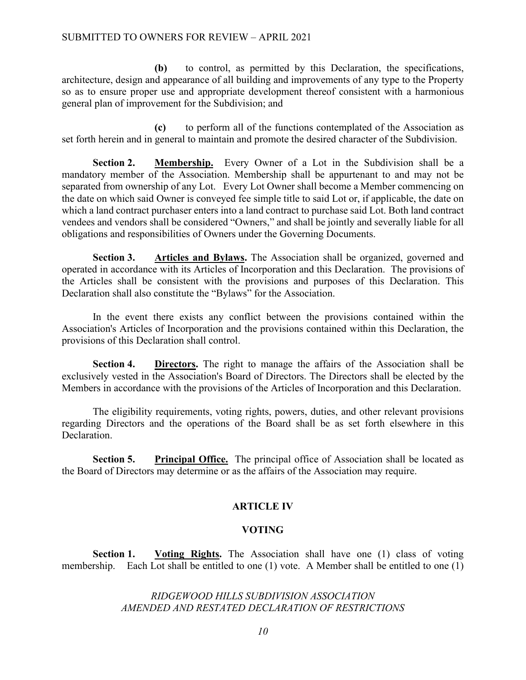**(b)** to control, as permitted by this Declaration, the specifications, architecture, design and appearance of all building and improvements of any type to the Property so as to ensure proper use and appropriate development thereof consistent with a harmonious general plan of improvement for the Subdivision; and

**(c)** to perform all of the functions contemplated of the Association as set forth herein and in general to maintain and promote the desired character of the Subdivision.

**Section 2. Membership.** Every Owner of a Lot in the Subdivision shall be a mandatory member of the Association. Membership shall be appurtenant to and may not be separated from ownership of any Lot. Every Lot Owner shall become a Member commencing on the date on which said Owner is conveyed fee simple title to said Lot or, if applicable, the date on which a land contract purchaser enters into a land contract to purchase said Lot. Both land contract vendees and vendors shall be considered "Owners," and shall be jointly and severally liable for all obligations and responsibilities of Owners under the Governing Documents.

**Section 3. Articles and Bylaws.** The Association shall be organized, governed and operated in accordance with its Articles of Incorporation and this Declaration. The provisions of the Articles shall be consistent with the provisions and purposes of this Declaration. This Declaration shall also constitute the "Bylaws" for the Association.

In the event there exists any conflict between the provisions contained within the Association's Articles of Incorporation and the provisions contained within this Declaration, the provisions of this Declaration shall control.

**Section 4. Directors.** The right to manage the affairs of the Association shall be exclusively vested in the Association's Board of Directors. The Directors shall be elected by the Members in accordance with the provisions of the Articles of Incorporation and this Declaration.

The eligibility requirements, voting rights, powers, duties, and other relevant provisions regarding Directors and the operations of the Board shall be as set forth elsewhere in this Declaration.

**Section 5.** Principal Office. The principal office of Association shall be located as the Board of Directors may determine or as the affairs of the Association may require.

## **ARTICLE IV**

## **VOTING**

**Section 1. Voting Rights.** The Association shall have one (1) class of voting membership. Each Lot shall be entitled to one (1) vote. A Member shall be entitled to one (1)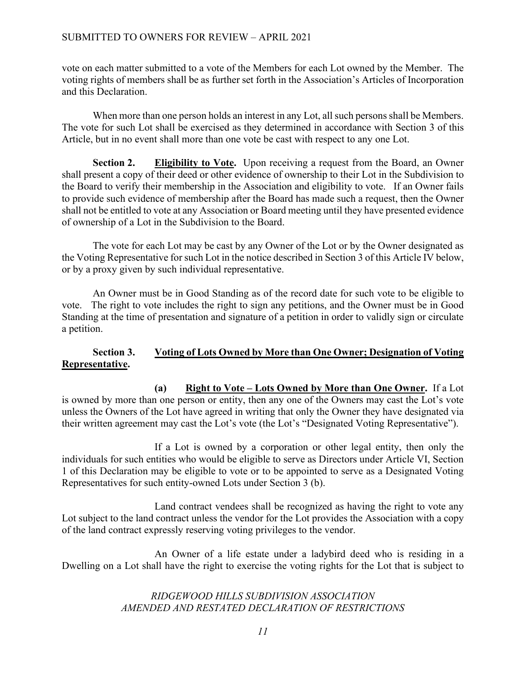vote on each matter submitted to a vote of the Members for each Lot owned by the Member. The voting rights of members shall be as further set forth in the Association's Articles of Incorporation and this Declaration.

When more than one person holds an interest in any Lot, all such persons shall be Members. The vote for such Lot shall be exercised as they determined in accordance with Section 3 of this Article, but in no event shall more than one vote be cast with respect to any one Lot.

**Section 2. Eligibility to Vote.** Upon receiving a request from the Board, an Owner shall present a copy of their deed or other evidence of ownership to their Lot in the Subdivision to the Board to verify their membership in the Association and eligibility to vote. If an Owner fails to provide such evidence of membership after the Board has made such a request, then the Owner shall not be entitled to vote at any Association or Board meeting until they have presented evidence of ownership of a Lot in the Subdivision to the Board.

The vote for each Lot may be cast by any Owner of the Lot or by the Owner designated as the Voting Representative for such Lot in the notice described in Section 3 of this Article IV below, or by a proxy given by such individual representative.

An Owner must be in Good Standing as of the record date for such vote to be eligible to vote. The right to vote includes the right to sign any petitions, and the Owner must be in Good Standing at the time of presentation and signature of a petition in order to validly sign or circulate a petition.

## **Section 3. Voting of Lots Owned by More than One Owner; Designation of Voting Representative.**

**(a) Right to Vote – Lots Owned by More than One Owner.** If a Lot is owned by more than one person or entity, then any one of the Owners may cast the Lot's vote unless the Owners of the Lot have agreed in writing that only the Owner they have designated via their written agreement may cast the Lot's vote (the Lot's "Designated Voting Representative").

If a Lot is owned by a corporation or other legal entity, then only the individuals for such entities who would be eligible to serve as Directors under Article VI, Section 1 of this Declaration may be eligible to vote or to be appointed to serve as a Designated Voting Representatives for such entity-owned Lots under Section 3 (b).

Land contract vendees shall be recognized as having the right to vote any Lot subject to the land contract unless the vendor for the Lot provides the Association with a copy of the land contract expressly reserving voting privileges to the vendor.

An Owner of a life estate under a ladybird deed who is residing in a Dwelling on a Lot shall have the right to exercise the voting rights for the Lot that is subject to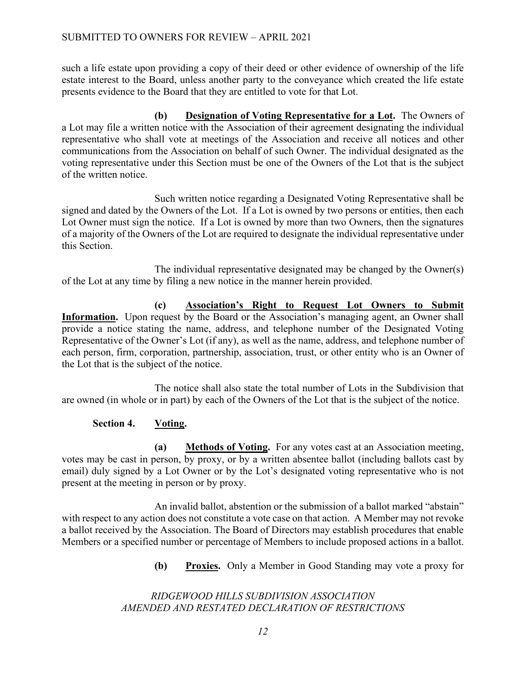such a life estate upon providing a copy of their deed or other evidence of ownership of the life estate interest to the Board, unless another party to the conveyance which created the life estate presents evidence to the Board that they are entitled to vote for that Lot.

**(b) Designation of Voting Representative for a Lot.** The Owners of a Lot may file a written notice with the Association of their agreement designating the individual representative who shall vote at meetings of the Association and receive all notices and other communications from the Association on behalf of such Owner. The individual designated as the voting representative under this Section must be one of the Owners of the Lot that is the subject of the written notice.

Such written notice regarding a Designated Voting Representative shall be signed and dated by the Owners of the Lot. If a Lot is owned by two persons or entities, then each Lot Owner must sign the notice. If a Lot is owned by more than two Owners, then the signatures of a majority of the Owners of the Lot are required to designate the individual representative under this Section.

The individual representative designated may be changed by the Owner(s) of the Lot at any time by filing a new notice in the manner herein provided.

**(c) Association's Right to Request Lot Owners to Submit**  Information. Upon request by the Board or the Association's managing agent, an Owner shall provide a notice stating the name, address, and telephone number of the Designated Voting Representative of the Owner's Lot (if any), as well as the name, address, and telephone number of each person, firm, corporation, partnership, association, trust, or other entity who is an Owner of the Lot that is the subject of the notice.

The notice shall also state the total number of Lots in the Subdivision that are owned (in whole or in part) by each of the Owners of the Lot that is the subject of the notice.

## **Section 4. Voting.**

**(a) Methods of Voting.** For any votes cast at an Association meeting, votes may be cast in person, by proxy, or by a written absentee ballot (including ballots cast by email) duly signed by a Lot Owner or by the Lot's designated voting representative who is not present at the meeting in person or by proxy.

An invalid ballot, abstention or the submission of a ballot marked "abstain" with respect to any action does not constitute a vote case on that action. A Member may not revoke a ballot received by the Association. The Board of Directors may establish procedures that enable Members or a specified number or percentage of Members to include proposed actions in a ballot.

**(b) Proxies.** Only a Member in Good Standing may vote a proxy for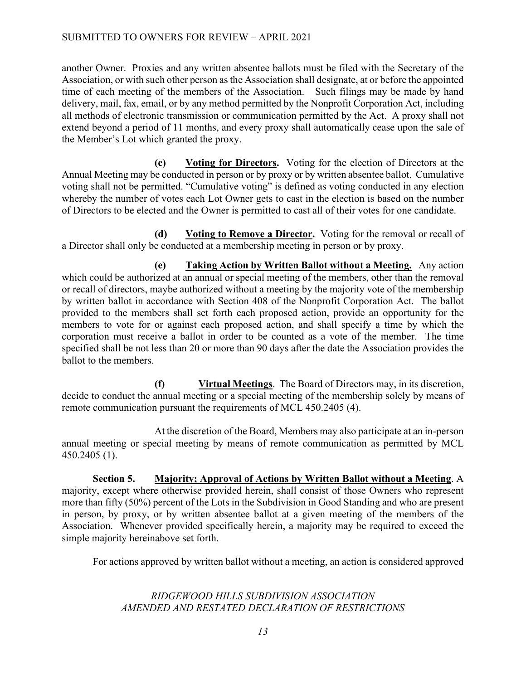## SUBMITTED TO OWNERS FOR REVIEW – APRIL 2021

another Owner. Proxies and any written absentee ballots must be filed with the Secretary of the Association, or with such other person as the Association shall designate, at or before the appointed time of each meeting of the members of the Association. Such filings may be made by hand delivery, mail, fax, email, or by any method permitted by the Nonprofit Corporation Act, including all methods of electronic transmission or communication permitted by the Act. A proxy shall not extend beyond a period of 11 months, and every proxy shall automatically cease upon the sale of the Member's Lot which granted the proxy.

**(c) Voting for Directors.** Voting for the election of Directors at the Annual Meeting may be conducted in person or by proxy or by written absentee ballot. Cumulative voting shall not be permitted. "Cumulative voting" is defined as voting conducted in any election whereby the number of votes each Lot Owner gets to cast in the election is based on the number of Directors to be elected and the Owner is permitted to cast all of their votes for one candidate.

**(d) Voting to Remove a Director.** Voting for the removal or recall of a Director shall only be conducted at a membership meeting in person or by proxy.

**(e) Taking Action by Written Ballot without a Meeting.** Any action which could be authorized at an annual or special meeting of the members, other than the removal or recall of directors, maybe authorized without a meeting by the majority vote of the membership by written ballot in accordance with Section 408 of the Nonprofit Corporation Act. The ballot provided to the members shall set forth each proposed action, provide an opportunity for the members to vote for or against each proposed action, and shall specify a time by which the corporation must receive a ballot in order to be counted as a vote of the member. The time specified shall be not less than 20 or more than 90 days after the date the Association provides the ballot to the members.

**(f) Virtual Meetings**. The Board of Directors may, in its discretion, decide to conduct the annual meeting or a special meeting of the membership solely by means of remote communication pursuant the requirements of MCL 450.2405 (4).

At the discretion of the Board, Members may also participate at an in-person annual meeting or special meeting by means of remote communication as permitted by MCL 450.2405 (1).

**Section 5. Majority; Approval of Actions by Written Ballot without a Meeting**. A majority, except where otherwise provided herein, shall consist of those Owners who represent more than fifty (50%) percent of the Lots in the Subdivision in Good Standing and who are present in person, by proxy, or by written absentee ballot at a given meeting of the members of the Association. Whenever provided specifically herein, a majority may be required to exceed the simple majority hereinabove set forth.

For actions approved by written ballot without a meeting, an action is considered approved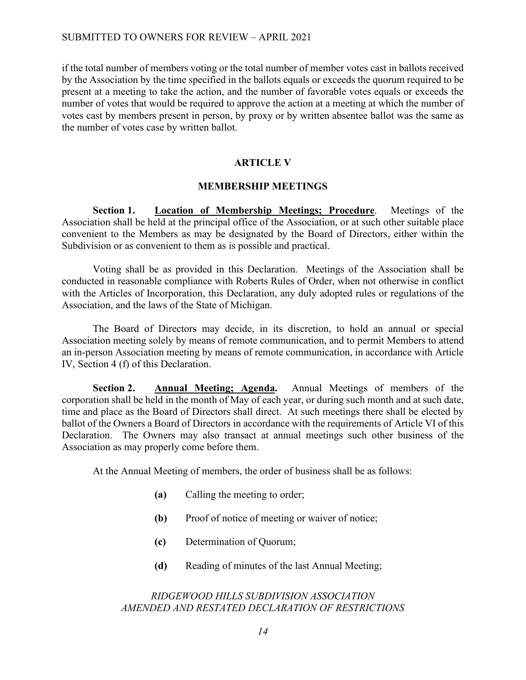if the total number of members voting or the total number of member votes cast in ballots received by the Association by the time specified in the ballots equals or exceeds the quorum required to be present at a meeting to take the action, and the number of favorable votes equals or exceeds the number of votes that would be required to approve the action at a meeting at which the number of votes cast by members present in person, by proxy or by written absentee ballot was the same as the number of votes case by written ballot.

### **ARTICLE V**

### **MEMBERSHIP MEETINGS**

**Section 1. Location of Membership Meetings; Procedure**. Meetings of the Association shall be held at the principal office of the Association, or at such other suitable place convenient to the Members as may be designated by the Board of Directors, either within the Subdivision or as convenient to them as is possible and practical.

Voting shall be as provided in this Declaration. Meetings of the Association shall be conducted in reasonable compliance with Roberts Rules of Order, when not otherwise in conflict with the Articles of Incorporation, this Declaration, any duly adopted rules or regulations of the Association, and the laws of the State of Michigan.

The Board of Directors may decide, in its discretion, to hold an annual or special Association meeting solely by means of remote communication, and to permit Members to attend an in-person Association meeting by means of remote communication, in accordance with Article IV, Section 4 (f) of this Declaration.

**Section 2. Annual Meeting; Agenda.** Annual Meetings of members of the corporation shall be held in the month of May of each year, or during such month and at such date, time and place as the Board of Directors shall direct. At such meetings there shall be elected by ballot of the Owners a Board of Directors in accordance with the requirements of Article VI of this Declaration. The Owners may also transact at annual meetings such other business of the Association as may properly come before them.

At the Annual Meeting of members, the order of business shall be as follows:

- **(a)** Calling the meeting to order;
- **(b)** Proof of notice of meeting or waiver of notice;
- **(c)** Determination of Quorum;
- **(d)** Reading of minutes of the last Annual Meeting;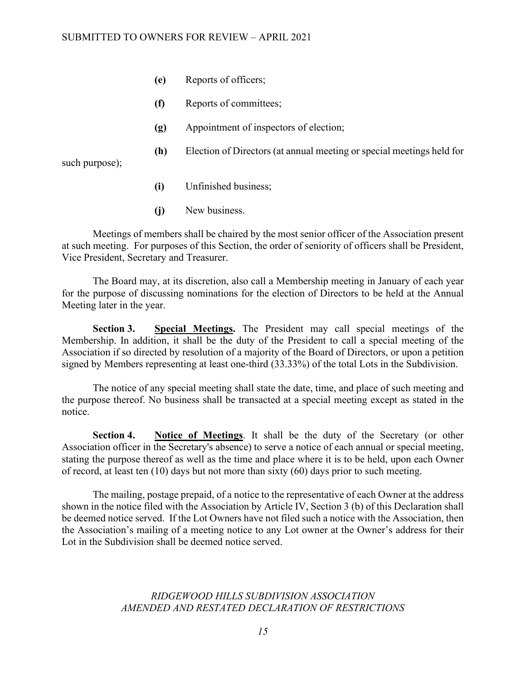- **(e)** Reports of officers;
- **(f)** Reports of committees;
- **(g)** Appointment of inspectors of election;
- **(h)** Election of Directors (at annual meeting or special meetings held for

such purpose);

- **(i)** Unfinished business;
- **(j)** New business.

Meetings of members shall be chaired by the most senior officer of the Association present at such meeting. For purposes of this Section, the order of seniority of officers shall be President, Vice President, Secretary and Treasurer.

The Board may, at its discretion, also call a Membership meeting in January of each year for the purpose of discussing nominations for the election of Directors to be held at the Annual Meeting later in the year.

**Section 3. Special Meetings.** The President may call special meetings of the Membership. In addition, it shall be the duty of the President to call a special meeting of the Association if so directed by resolution of a majority of the Board of Directors, or upon a petition signed by Members representing at least one-third (33.33%) of the total Lots in the Subdivision.

The notice of any special meeting shall state the date, time, and place of such meeting and the purpose thereof. No business shall be transacted at a special meeting except as stated in the notice.

**Section 4. Notice of Meetings**. It shall be the duty of the Secretary (or other Association officer in the Secretary's absence) to serve a notice of each annual or special meeting, stating the purpose thereof as well as the time and place where it is to be held, upon each Owner of record, at least ten (10) days but not more than sixty (60) days prior to such meeting.

The mailing, postage prepaid, of a notice to the representative of each Owner at the address shown in the notice filed with the Association by Article IV, Section 3 (b) of this Declaration shall be deemed notice served. If the Lot Owners have not filed such a notice with the Association, then the Association's mailing of a meeting notice to any Lot owner at the Owner's address for their Lot in the Subdivision shall be deemed notice served.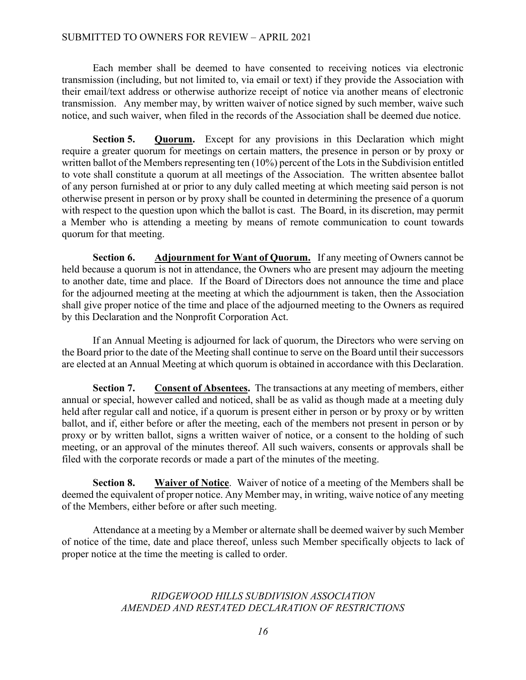### SUBMITTED TO OWNERS FOR REVIEW – APRIL 2021

Each member shall be deemed to have consented to receiving notices via electronic transmission (including, but not limited to, via email or text) if they provide the Association with their email/text address or otherwise authorize receipt of notice via another means of electronic transmission. Any member may, by written waiver of notice signed by such member, waive such notice, and such waiver, when filed in the records of the Association shall be deemed due notice.

**Section 5. Quorum.** Except for any provisions in this Declaration which might require a greater quorum for meetings on certain matters, the presence in person or by proxy or written ballot of the Members representing ten (10%) percent of the Lots in the Subdivision entitled to vote shall constitute a quorum at all meetings of the Association. The written absentee ballot of any person furnished at or prior to any duly called meeting at which meeting said person is not otherwise present in person or by proxy shall be counted in determining the presence of a quorum with respect to the question upon which the ballot is cast. The Board, in its discretion, may permit a Member who is attending a meeting by means of remote communication to count towards quorum for that meeting.

**Section 6. Adjournment for Want of Quorum.** If any meeting of Owners cannot be held because a quorum is not in attendance, the Owners who are present may adjourn the meeting to another date, time and place. If the Board of Directors does not announce the time and place for the adjourned meeting at the meeting at which the adjournment is taken, then the Association shall give proper notice of the time and place of the adjourned meeting to the Owners as required by this Declaration and the Nonprofit Corporation Act.

If an Annual Meeting is adjourned for lack of quorum, the Directors who were serving on the Board prior to the date of the Meeting shall continue to serve on the Board until their successors are elected at an Annual Meeting at which quorum is obtained in accordance with this Declaration.

**Section 7. Consent of Absentees.** The transactions at any meeting of members, either annual or special, however called and noticed, shall be as valid as though made at a meeting duly held after regular call and notice, if a quorum is present either in person or by proxy or by written ballot, and if, either before or after the meeting, each of the members not present in person or by proxy or by written ballot, signs a written waiver of notice, or a consent to the holding of such meeting, or an approval of the minutes thereof. All such waivers, consents or approvals shall be filed with the corporate records or made a part of the minutes of the meeting.

**Section 8. Waiver of Notice**. Waiver of notice of a meeting of the Members shall be deemed the equivalent of proper notice. Any Member may, in writing, waive notice of any meeting of the Members, either before or after such meeting.

Attendance at a meeting by a Member or alternate shall be deemed waiver by such Member of notice of the time, date and place thereof, unless such Member specifically objects to lack of proper notice at the time the meeting is called to order.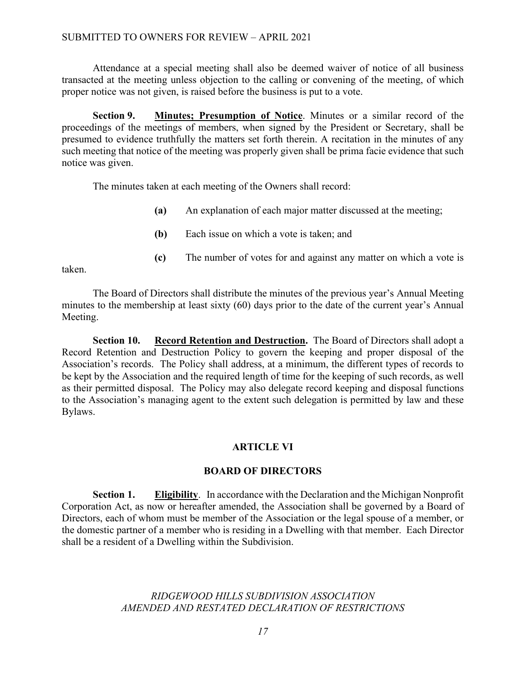Attendance at a special meeting shall also be deemed waiver of notice of all business transacted at the meeting unless objection to the calling or convening of the meeting, of which proper notice was not given, is raised before the business is put to a vote.

**Section 9. Minutes; Presumption of Notice**. Minutes or a similar record of the proceedings of the meetings of members, when signed by the President or Secretary, shall be presumed to evidence truthfully the matters set forth therein. A recitation in the minutes of any such meeting that notice of the meeting was properly given shall be prima facie evidence that such notice was given.

The minutes taken at each meeting of the Owners shall record:

- **(a)** An explanation of each major matter discussed at the meeting;
- **(b)** Each issue on which a vote is taken; and
- **(c)** The number of votes for and against any matter on which a vote is

taken.

The Board of Directors shall distribute the minutes of the previous year's Annual Meeting minutes to the membership at least sixty (60) days prior to the date of the current year's Annual Meeting.

**Section 10. Record Retention and Destruction.** The Board of Directors shall adopt a Record Retention and Destruction Policy to govern the keeping and proper disposal of the Association's records. The Policy shall address, at a minimum, the different types of records to be kept by the Association and the required length of time for the keeping of such records, as well as their permitted disposal. The Policy may also delegate record keeping and disposal functions to the Association's managing agent to the extent such delegation is permitted by law and these Bylaws.

## **ARTICLE VI**

### **BOARD OF DIRECTORS**

**Section 1. Eligibility**. In accordance with the Declaration and the Michigan Nonprofit Corporation Act, as now or hereafter amended, the Association shall be governed by a Board of Directors, each of whom must be member of the Association or the legal spouse of a member, or the domestic partner of a member who is residing in a Dwelling with that member. Each Director shall be a resident of a Dwelling within the Subdivision.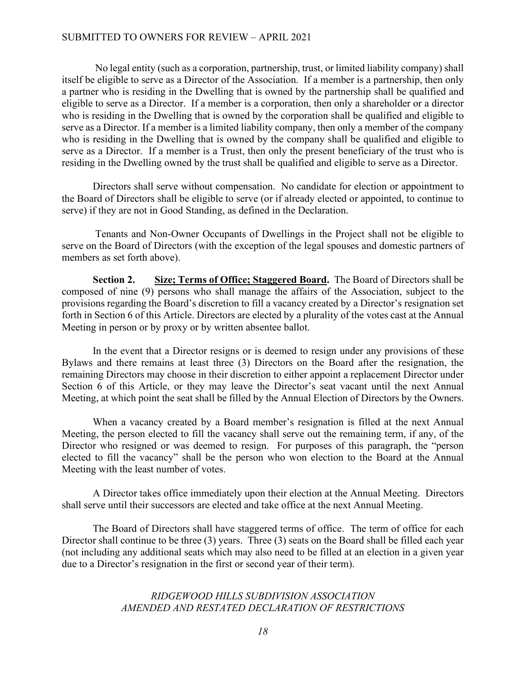### SUBMITTED TO OWNERS FOR REVIEW – APRIL 2021

No legal entity (such as a corporation, partnership, trust, or limited liability company) shall itself be eligible to serve as a Director of the Association. If a member is a partnership, then only a partner who is residing in the Dwelling that is owned by the partnership shall be qualified and eligible to serve as a Director. If a member is a corporation, then only a shareholder or a director who is residing in the Dwelling that is owned by the corporation shall be qualified and eligible to serve as a Director. If a member is a limited liability company, then only a member of the company who is residing in the Dwelling that is owned by the company shall be qualified and eligible to serve as a Director. If a member is a Trust, then only the present beneficiary of the trust who is residing in the Dwelling owned by the trust shall be qualified and eligible to serve as a Director.

Directors shall serve without compensation. No candidate for election or appointment to the Board of Directors shall be eligible to serve (or if already elected or appointed, to continue to serve) if they are not in Good Standing, as defined in the Declaration.

Tenants and Non-Owner Occupants of Dwellings in the Project shall not be eligible to serve on the Board of Directors (with the exception of the legal spouses and domestic partners of members as set forth above).

**Section 2. Size; Terms of Office; Staggered Board.** The Board of Directors shall be composed of nine (9) persons who shall manage the affairs of the Association, subject to the provisions regarding the Board's discretion to fill a vacancy created by a Director's resignation set forth in Section 6 of this Article. Directors are elected by a plurality of the votes cast at the Annual Meeting in person or by proxy or by written absentee ballot.

In the event that a Director resigns or is deemed to resign under any provisions of these Bylaws and there remains at least three (3) Directors on the Board after the resignation, the remaining Directors may choose in their discretion to either appoint a replacement Director under Section 6 of this Article, or they may leave the Director's seat vacant until the next Annual Meeting, at which point the seat shall be filled by the Annual Election of Directors by the Owners.

When a vacancy created by a Board member's resignation is filled at the next Annual Meeting, the person elected to fill the vacancy shall serve out the remaining term, if any, of the Director who resigned or was deemed to resign. For purposes of this paragraph, the "person elected to fill the vacancy" shall be the person who won election to the Board at the Annual Meeting with the least number of votes.

A Director takes office immediately upon their election at the Annual Meeting. Directors shall serve until their successors are elected and take office at the next Annual Meeting.

The Board of Directors shall have staggered terms of office. The term of office for each Director shall continue to be three (3) years. Three (3) seats on the Board shall be filled each year (not including any additional seats which may also need to be filled at an election in a given year due to a Director's resignation in the first or second year of their term).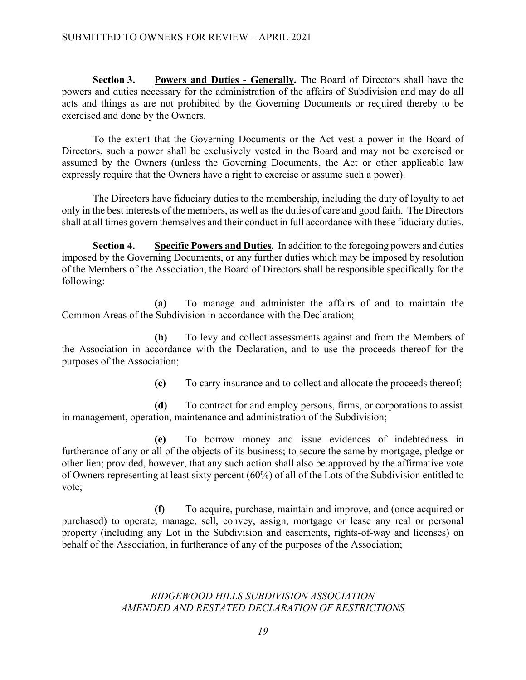**Section 3. Powers and Duties - Generally.** The Board of Directors shall have the powers and duties necessary for the administration of the affairs of Subdivision and may do all acts and things as are not prohibited by the Governing Documents or required thereby to be exercised and done by the Owners.

To the extent that the Governing Documents or the Act vest a power in the Board of Directors, such a power shall be exclusively vested in the Board and may not be exercised or assumed by the Owners (unless the Governing Documents, the Act or other applicable law expressly require that the Owners have a right to exercise or assume such a power).

The Directors have fiduciary duties to the membership, including the duty of loyalty to act only in the best interests of the members, as well as the duties of care and good faith. The Directors shall at all times govern themselves and their conduct in full accordance with these fiduciary duties.

**Section 4. Specific Powers and Duties.** In addition to the foregoing powers and duties imposed by the Governing Documents, or any further duties which may be imposed by resolution of the Members of the Association, the Board of Directors shall be responsible specifically for the following:

**(a)** To manage and administer the affairs of and to maintain the Common Areas of the Subdivision in accordance with the Declaration;

**(b)** To levy and collect assessments against and from the Members of the Association in accordance with the Declaration, and to use the proceeds thereof for the purposes of the Association;

**(c)** To carry insurance and to collect and allocate the proceeds thereof;

**(d)** To contract for and employ persons, firms, or corporations to assist in management, operation, maintenance and administration of the Subdivision;

**(e)** To borrow money and issue evidences of indebtedness in furtherance of any or all of the objects of its business; to secure the same by mortgage, pledge or other lien; provided, however, that any such action shall also be approved by the affirmative vote of Owners representing at least sixty percent (60%) of all of the Lots of the Subdivision entitled to vote;

**(f)** To acquire, purchase, maintain and improve, and (once acquired or purchased) to operate, manage, sell, convey, assign, mortgage or lease any real or personal property (including any Lot in the Subdivision and easements, rights-of-way and licenses) on behalf of the Association, in furtherance of any of the purposes of the Association;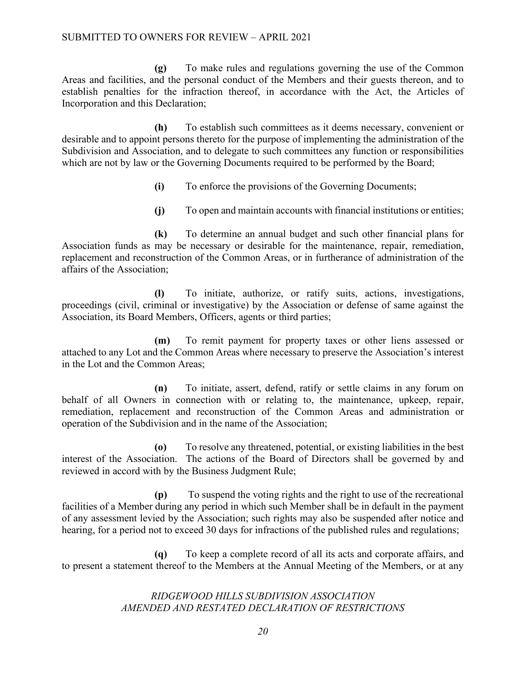**(g)** To make rules and regulations governing the use of the Common Areas and facilities, and the personal conduct of the Members and their guests thereon, and to establish penalties for the infraction thereof, in accordance with the Act, the Articles of Incorporation and this Declaration;

**(h)** To establish such committees as it deems necessary, convenient or desirable and to appoint persons thereto for the purpose of implementing the administration of the Subdivision and Association, and to delegate to such committees any function or responsibilities which are not by law or the Governing Documents required to be performed by the Board;

- **(i)** To enforce the provisions of the Governing Documents;
- **(j)** To open and maintain accounts with financial institutions or entities;

**(k)** To determine an annual budget and such other financial plans for Association funds as may be necessary or desirable for the maintenance, repair, remediation, replacement and reconstruction of the Common Areas, or in furtherance of administration of the affairs of the Association;

**(l)** To initiate, authorize, or ratify suits, actions, investigations, proceedings (civil, criminal or investigative) by the Association or defense of same against the Association, its Board Members, Officers, agents or third parties;

**(m)** To remit payment for property taxes or other liens assessed or attached to any Lot and the Common Areas where necessary to preserve the Association's interest in the Lot and the Common Areas;

**(n)** To initiate, assert, defend, ratify or settle claims in any forum on behalf of all Owners in connection with or relating to, the maintenance, upkeep, repair, remediation, replacement and reconstruction of the Common Areas and administration or operation of the Subdivision and in the name of the Association;

**(o)** To resolve any threatened, potential, or existing liabilities in the best interest of the Association. The actions of the Board of Directors shall be governed by and reviewed in accord with by the Business Judgment Rule;

**(p)** To suspend the voting rights and the right to use of the recreational facilities of a Member during any period in which such Member shall be in default in the payment of any assessment levied by the Association; such rights may also be suspended after notice and hearing, for a period not to exceed 30 days for infractions of the published rules and regulations;

**(q)** To keep a complete record of all its acts and corporate affairs, and to present a statement thereof to the Members at the Annual Meeting of the Members, or at any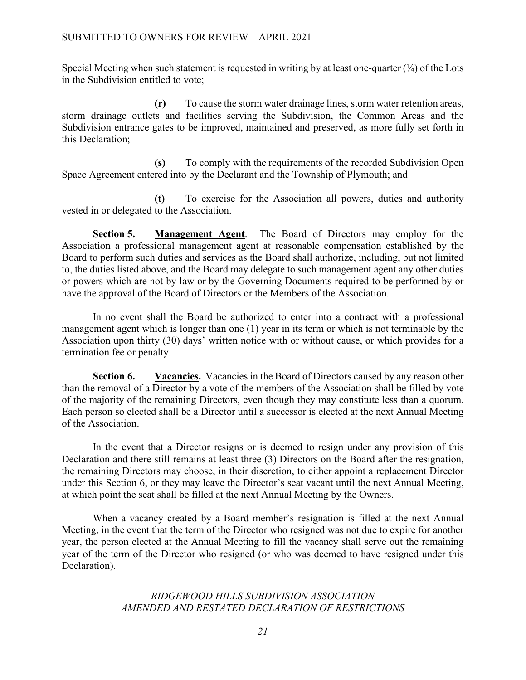Special Meeting when such statement is requested in writing by at least one-quarter  $(\frac{1}{4})$  of the Lots in the Subdivision entitled to vote;

**(r)** To cause the storm water drainage lines, storm water retention areas, storm drainage outlets and facilities serving the Subdivision, the Common Areas and the Subdivision entrance gates to be improved, maintained and preserved, as more fully set forth in this Declaration;

**(s)** To comply with the requirements of the recorded Subdivision Open Space Agreement entered into by the Declarant and the Township of Plymouth; and

**(t)** To exercise for the Association all powers, duties and authority vested in or delegated to the Association.

**Section 5. Management Agent**. The Board of Directors may employ for the Association a professional management agent at reasonable compensation established by the Board to perform such duties and services as the Board shall authorize, including, but not limited to, the duties listed above, and the Board may delegate to such management agent any other duties or powers which are not by law or by the Governing Documents required to be performed by or have the approval of the Board of Directors or the Members of the Association.

In no event shall the Board be authorized to enter into a contract with a professional management agent which is longer than one (1) year in its term or which is not terminable by the Association upon thirty (30) days' written notice with or without cause, or which provides for a termination fee or penalty.

**Section 6. Vacancies.** Vacancies in the Board of Directors caused by any reason other than the removal of a Director by a vote of the members of the Association shall be filled by vote of the majority of the remaining Directors, even though they may constitute less than a quorum. Each person so elected shall be a Director until a successor is elected at the next Annual Meeting of the Association.

In the event that a Director resigns or is deemed to resign under any provision of this Declaration and there still remains at least three (3) Directors on the Board after the resignation, the remaining Directors may choose, in their discretion, to either appoint a replacement Director under this Section 6, or they may leave the Director's seat vacant until the next Annual Meeting, at which point the seat shall be filled at the next Annual Meeting by the Owners.

When a vacancy created by a Board member's resignation is filled at the next Annual Meeting, in the event that the term of the Director who resigned was not due to expire for another year, the person elected at the Annual Meeting to fill the vacancy shall serve out the remaining year of the term of the Director who resigned (or who was deemed to have resigned under this Declaration).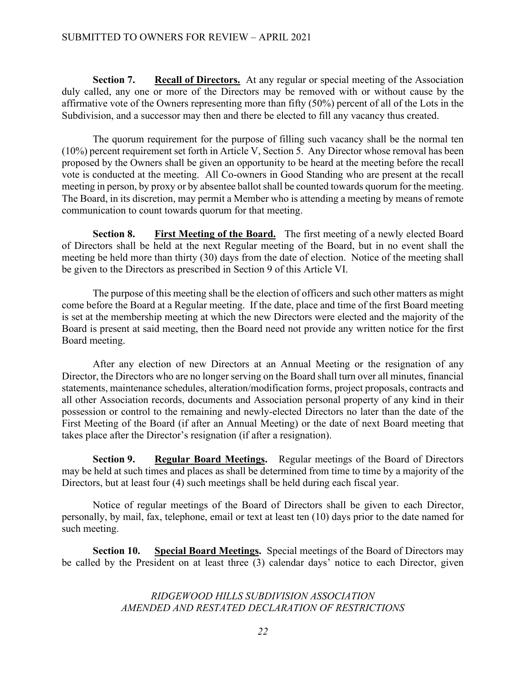**Section 7. Recall of Directors.** At any regular or special meeting of the Association duly called, any one or more of the Directors may be removed with or without cause by the affirmative vote of the Owners representing more than fifty (50%) percent of all of the Lots in the Subdivision, and a successor may then and there be elected to fill any vacancy thus created.

The quorum requirement for the purpose of filling such vacancy shall be the normal ten (10%) percent requirement set forth in Article V, Section 5. Any Director whose removal has been proposed by the Owners shall be given an opportunity to be heard at the meeting before the recall vote is conducted at the meeting. All Co-owners in Good Standing who are present at the recall meeting in person, by proxy or by absentee ballot shall be counted towards quorum for the meeting. The Board, in its discretion, may permit a Member who is attending a meeting by means of remote communication to count towards quorum for that meeting.

**Section 8. First Meeting of the Board.** The first meeting of a newly elected Board of Directors shall be held at the next Regular meeting of the Board, but in no event shall the meeting be held more than thirty (30) days from the date of election. Notice of the meeting shall be given to the Directors as prescribed in Section 9 of this Article VI.

The purpose of this meeting shall be the election of officers and such other matters as might come before the Board at a Regular meeting. If the date, place and time of the first Board meeting is set at the membership meeting at which the new Directors were elected and the majority of the Board is present at said meeting, then the Board need not provide any written notice for the first Board meeting.

After any election of new Directors at an Annual Meeting or the resignation of any Director, the Directors who are no longer serving on the Board shall turn over all minutes, financial statements, maintenance schedules, alteration/modification forms, project proposals, contracts and all other Association records, documents and Association personal property of any kind in their possession or control to the remaining and newly-elected Directors no later than the date of the First Meeting of the Board (if after an Annual Meeting) or the date of next Board meeting that takes place after the Director's resignation (if after a resignation).

**Section 9. Regular Board Meetings.** Regular meetings of the Board of Directors may be held at such times and places as shall be determined from time to time by a majority of the Directors, but at least four (4) such meetings shall be held during each fiscal year.

Notice of regular meetings of the Board of Directors shall be given to each Director, personally, by mail, fax, telephone, email or text at least ten (10) days prior to the date named for such meeting.

**Section 10. Special Board Meetings.** Special meetings of the Board of Directors may be called by the President on at least three (3) calendar days' notice to each Director, given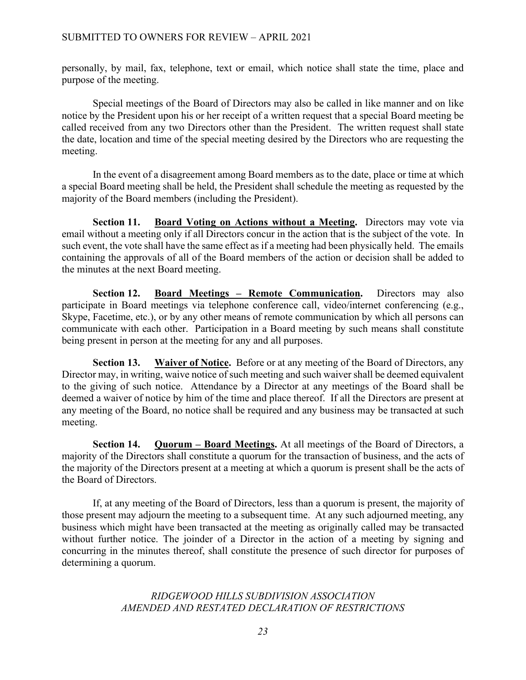personally, by mail, fax, telephone, text or email, which notice shall state the time, place and purpose of the meeting.

Special meetings of the Board of Directors may also be called in like manner and on like notice by the President upon his or her receipt of a written request that a special Board meeting be called received from any two Directors other than the President. The written request shall state the date, location and time of the special meeting desired by the Directors who are requesting the meeting.

In the event of a disagreement among Board members as to the date, place or time at which a special Board meeting shall be held, the President shall schedule the meeting as requested by the majority of the Board members (including the President).

**Section 11. Board Voting on Actions without a Meeting.** Directors may vote via email without a meeting only if all Directors concur in the action that is the subject of the vote. In such event, the vote shall have the same effect as if a meeting had been physically held. The emails containing the approvals of all of the Board members of the action or decision shall be added to the minutes at the next Board meeting.

**Section 12. Board Meetings – Remote Communication.** Directors may also participate in Board meetings via telephone conference call, video/internet conferencing (e.g., Skype, Facetime, etc.), or by any other means of remote communication by which all persons can communicate with each other. Participation in a Board meeting by such means shall constitute being present in person at the meeting for any and all purposes.

**Section 13. Waiver of Notice.** Before or at any meeting of the Board of Directors, any Director may, in writing, waive notice of such meeting and such waiver shall be deemed equivalent to the giving of such notice. Attendance by a Director at any meetings of the Board shall be deemed a waiver of notice by him of the time and place thereof. If all the Directors are present at any meeting of the Board, no notice shall be required and any business may be transacted at such meeting.

**Section 14. Quorum – Board Meetings.** At all meetings of the Board of Directors, a majority of the Directors shall constitute a quorum for the transaction of business, and the acts of the majority of the Directors present at a meeting at which a quorum is present shall be the acts of the Board of Directors.

If, at any meeting of the Board of Directors, less than a quorum is present, the majority of those present may adjourn the meeting to a subsequent time. At any such adjourned meeting, any business which might have been transacted at the meeting as originally called may be transacted without further notice. The joinder of a Director in the action of a meeting by signing and concurring in the minutes thereof, shall constitute the presence of such director for purposes of determining a quorum.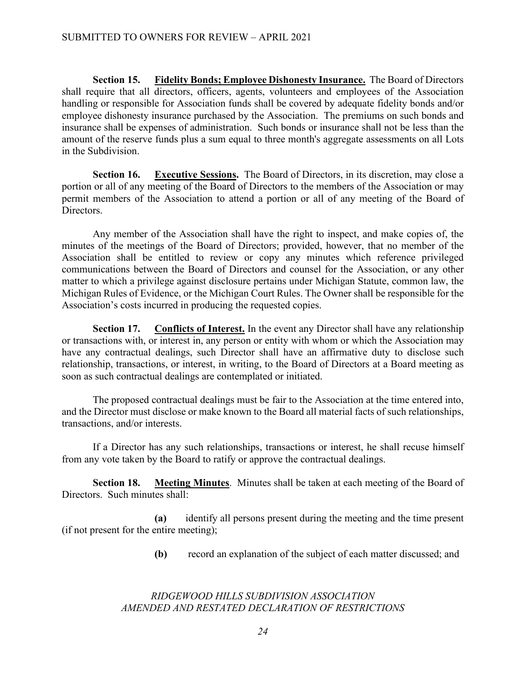**Section 15. Fidelity Bonds; Employee Dishonesty Insurance.** The Board of Directors shall require that all directors, officers, agents, volunteers and employees of the Association handling or responsible for Association funds shall be covered by adequate fidelity bonds and/or employee dishonesty insurance purchased by the Association. The premiums on such bonds and insurance shall be expenses of administration. Such bonds or insurance shall not be less than the amount of the reserve funds plus a sum equal to three month's aggregate assessments on all Lots in the Subdivision.

**Section 16. Executive Sessions.** The Board of Directors, in its discretion, may close a portion or all of any meeting of the Board of Directors to the members of the Association or may permit members of the Association to attend a portion or all of any meeting of the Board of Directors.

Any member of the Association shall have the right to inspect, and make copies of, the minutes of the meetings of the Board of Directors; provided, however, that no member of the Association shall be entitled to review or copy any minutes which reference privileged communications between the Board of Directors and counsel for the Association, or any other matter to which a privilege against disclosure pertains under Michigan Statute, common law, the Michigan Rules of Evidence, or the Michigan Court Rules. The Owner shall be responsible for the Association's costs incurred in producing the requested copies.

**Section 17. Conflicts of Interest.** In the event any Director shall have any relationship or transactions with, or interest in, any person or entity with whom or which the Association may have any contractual dealings, such Director shall have an affirmative duty to disclose such relationship, transactions, or interest, in writing, to the Board of Directors at a Board meeting as soon as such contractual dealings are contemplated or initiated.

The proposed contractual dealings must be fair to the Association at the time entered into, and the Director must disclose or make known to the Board all material facts of such relationships, transactions, and/or interests.

If a Director has any such relationships, transactions or interest, he shall recuse himself from any vote taken by the Board to ratify or approve the contractual dealings.

**Section 18. Meeting Minutes**. Minutes shall be taken at each meeting of the Board of Directors. Such minutes shall:

**(a)** identify all persons present during the meeting and the time present (if not present for the entire meeting);

**(b)** record an explanation of the subject of each matter discussed; and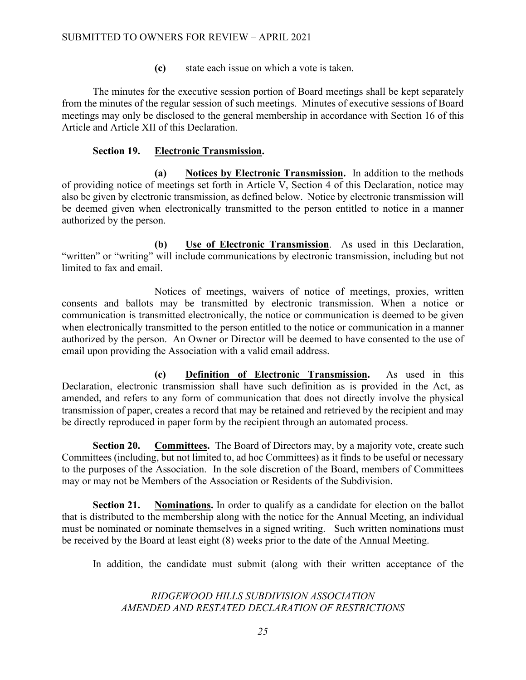**(c)** state each issue on which a vote is taken.

The minutes for the executive session portion of Board meetings shall be kept separately from the minutes of the regular session of such meetings. Minutes of executive sessions of Board meetings may only be disclosed to the general membership in accordance with Section 16 of this Article and Article XII of this Declaration.

### **Section 19. Electronic Transmission.**

**(a) Notices by Electronic Transmission.** In addition to the methods of providing notice of meetings set forth in Article V, Section 4 of this Declaration, notice may also be given by electronic transmission, as defined below. Notice by electronic transmission will be deemed given when electronically transmitted to the person entitled to notice in a manner authorized by the person.

**(b) Use of Electronic Transmission**. As used in this Declaration, "written" or "writing" will include communications by electronic transmission, including but not limited to fax and email.

Notices of meetings, waivers of notice of meetings, proxies, written consents and ballots may be transmitted by electronic transmission. When a notice or communication is transmitted electronically, the notice or communication is deemed to be given when electronically transmitted to the person entitled to the notice or communication in a manner authorized by the person. An Owner or Director will be deemed to have consented to the use of email upon providing the Association with a valid email address.

**(c) Definition of Electronic Transmission.** As used in this Declaration, electronic transmission shall have such definition as is provided in the Act, as amended, and refers to any form of communication that does not directly involve the physical transmission of paper, creates a record that may be retained and retrieved by the recipient and may be directly reproduced in paper form by the recipient through an automated process.

**Section 20. Committees.** The Board of Directors may, by a majority vote, create such Committees (including, but not limited to, ad hoc Committees) as it finds to be useful or necessary to the purposes of the Association. In the sole discretion of the Board, members of Committees may or may not be Members of the Association or Residents of the Subdivision.

**Section 21. Nominations.** In order to qualify as a candidate for election on the ballot that is distributed to the membership along with the notice for the Annual Meeting, an individual must be nominated or nominate themselves in a signed writing. Such written nominations must be received by the Board at least eight (8) weeks prior to the date of the Annual Meeting.

In addition, the candidate must submit (along with their written acceptance of the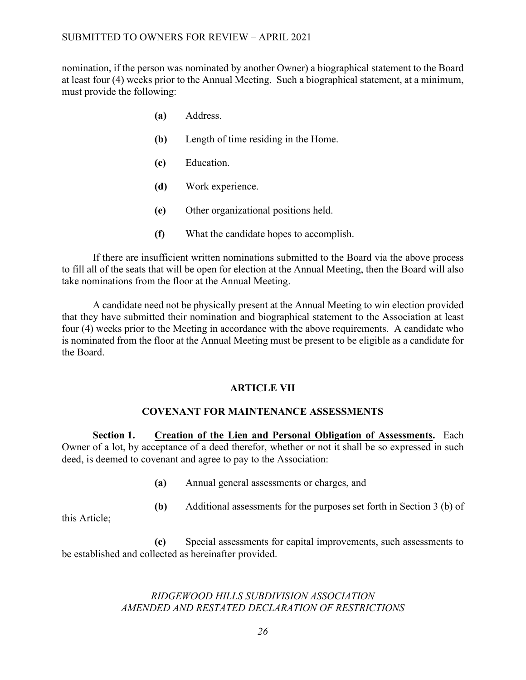nomination, if the person was nominated by another Owner) a biographical statement to the Board at least four (4) weeks prior to the Annual Meeting. Such a biographical statement, at a minimum, must provide the following:

- **(a)** Address.
- **(b)** Length of time residing in the Home.
- **(c)** Education.
- **(d)** Work experience.
- **(e)** Other organizational positions held.
- **(f)** What the candidate hopes to accomplish.

If there are insufficient written nominations submitted to the Board via the above process to fill all of the seats that will be open for election at the Annual Meeting, then the Board will also take nominations from the floor at the Annual Meeting.

A candidate need not be physically present at the Annual Meeting to win election provided that they have submitted their nomination and biographical statement to the Association at least four (4) weeks prior to the Meeting in accordance with the above requirements. A candidate who is nominated from the floor at the Annual Meeting must be present to be eligible as a candidate for the Board.

### **ARTICLE VII**

### **COVENANT FOR MAINTENANCE ASSESSMENTS**

**Section 1. Creation of the Lien and Personal Obligation of Assessments.** Each Owner of a lot, by acceptance of a deed therefor, whether or not it shall be so expressed in such deed, is deemed to covenant and agree to pay to the Association:

**(a)** Annual general assessments or charges, and

**(b)** Additional assessments for the purposes set forth in Section 3 (b) of

this Article;

**(c)** Special assessments for capital improvements, such assessments to be established and collected as hereinafter provided.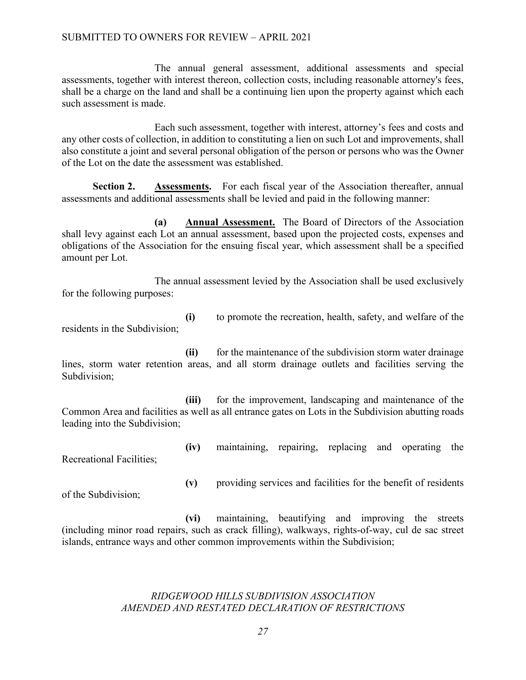### SUBMITTED TO OWNERS FOR REVIEW – APRIL 2021

The annual general assessment, additional assessments and special assessments, together with interest thereon, collection costs, including reasonable attorney's fees, shall be a charge on the land and shall be a continuing lien upon the property against which each such assessment is made.

Each such assessment, together with interest, attorney's fees and costs and any other costs of collection, in addition to constituting a lien on such Lot and improvements, shall also constitute a joint and several personal obligation of the person or persons who was the Owner of the Lot on the date the assessment was established.

**Section 2. Assessments.** For each fiscal year of the Association thereafter, annual assessments and additional assessments shall be levied and paid in the following manner:

**(a) Annual Assessment.** The Board of Directors of the Association shall levy against each Lot an annual assessment, based upon the projected costs, expenses and obligations of the Association for the ensuing fiscal year, which assessment shall be a specified amount per Lot.

The annual assessment levied by the Association shall be used exclusively for the following purposes:

**(i)** to promote the recreation, health, safety, and welfare of the residents in the Subdivision;

**(ii)** for the maintenance of the subdivision storm water drainage lines, storm water retention areas, and all storm drainage outlets and facilities serving the Subdivision;

**(iii)** for the improvement, landscaping and maintenance of the Common Area and facilities as well as all entrance gates on Lots in the Subdivision abutting roads leading into the Subdivision;

**(iv)** maintaining, repairing, replacing and operating the Recreational Facilities;

of the Subdivision;

**(v)** providing services and facilities for the benefit of residents

**(vi)** maintaining, beautifying and improving the streets (including minor road repairs, such as crack filling), walkways, rights-of-way, cul de sac street islands, entrance ways and other common improvements within the Subdivision;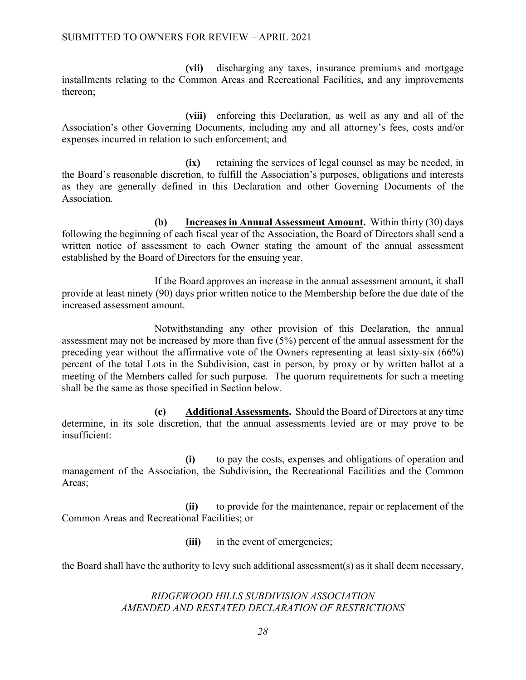**(vii)** discharging any taxes, insurance premiums and mortgage installments relating to the Common Areas and Recreational Facilities, and any improvements thereon;

**(viii)** enforcing this Declaration, as well as any and all of the Association's other Governing Documents, including any and all attorney's fees, costs and/or expenses incurred in relation to such enforcement; and

**(ix)** retaining the services of legal counsel as may be needed, in the Board's reasonable discretion, to fulfill the Association's purposes, obligations and interests as they are generally defined in this Declaration and other Governing Documents of the Association.

**(b) Increases in Annual Assessment Amount.** Within thirty (30) days following the beginning of each fiscal year of the Association, the Board of Directors shall send a written notice of assessment to each Owner stating the amount of the annual assessment established by the Board of Directors for the ensuing year.

If the Board approves an increase in the annual assessment amount, it shall provide at least ninety (90) days prior written notice to the Membership before the due date of the increased assessment amount.

Notwithstanding any other provision of this Declaration, the annual assessment may not be increased by more than five (5%) percent of the annual assessment for the preceding year without the affirmative vote of the Owners representing at least sixty-six (66%) percent of the total Lots in the Subdivision, cast in person, by proxy or by written ballot at a meeting of the Members called for such purpose. The quorum requirements for such a meeting shall be the same as those specified in Section below.

**(c) Additional Assessments.** Should the Board of Directors at any time determine, in its sole discretion, that the annual assessments levied are or may prove to be insufficient:

**(i)** to pay the costs, expenses and obligations of operation and management of the Association, the Subdivision, the Recreational Facilities and the Common Areas;

**(ii)** to provide for the maintenance, repair or replacement of the Common Areas and Recreational Facilities; or

**(iii)** in the event of emergencies;

the Board shall have the authority to levy such additional assessment(s) as it shall deem necessary,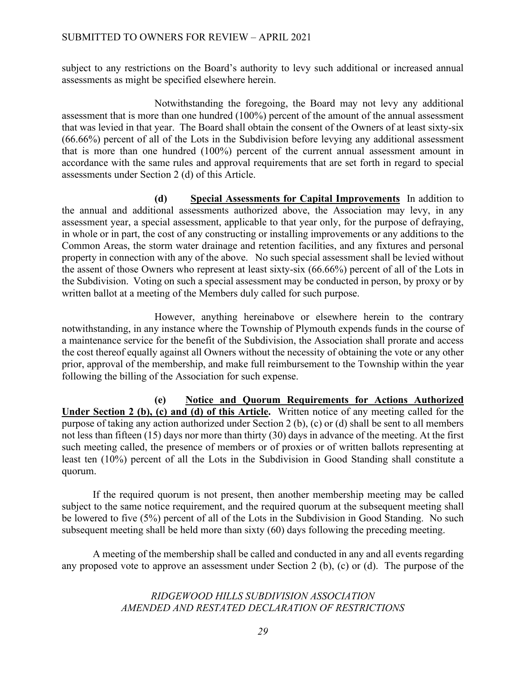subject to any restrictions on the Board's authority to levy such additional or increased annual assessments as might be specified elsewhere herein.

Notwithstanding the foregoing, the Board may not levy any additional assessment that is more than one hundred (100%) percent of the amount of the annual assessment that was levied in that year. The Board shall obtain the consent of the Owners of at least sixty-six (66.66%) percent of all of the Lots in the Subdivision before levying any additional assessment that is more than one hundred (100%) percent of the current annual assessment amount in accordance with the same rules and approval requirements that are set forth in regard to special assessments under Section 2 (d) of this Article.

**(d) Special Assessments for Capital Improvements** In addition to the annual and additional assessments authorized above, the Association may levy, in any assessment year, a special assessment, applicable to that year only, for the purpose of defraying, in whole or in part, the cost of any constructing or installing improvements or any additions to the Common Areas, the storm water drainage and retention facilities, and any fixtures and personal property in connection with any of the above. No such special assessment shall be levied without the assent of those Owners who represent at least sixty-six (66.66%) percent of all of the Lots in the Subdivision. Voting on such a special assessment may be conducted in person, by proxy or by written ballot at a meeting of the Members duly called for such purpose.

However, anything hereinabove or elsewhere herein to the contrary notwithstanding, in any instance where the Township of Plymouth expends funds in the course of a maintenance service for the benefit of the Subdivision, the Association shall prorate and access the cost thereof equally against all Owners without the necessity of obtaining the vote or any other prior, approval of the membership, and make full reimbursement to the Township within the year following the billing of the Association for such expense.

**(e) Notice and Quorum Requirements for Actions Authorized Under Section 2 (b), (c) and (d) of this Article.** Written notice of any meeting called for the purpose of taking any action authorized under Section 2 (b), (c) or (d) shall be sent to all members not less than fifteen (15) days nor more than thirty (30) days in advance of the meeting. At the first such meeting called, the presence of members or of proxies or of written ballots representing at least ten (10%) percent of all the Lots in the Subdivision in Good Standing shall constitute a quorum.

If the required quorum is not present, then another membership meeting may be called subject to the same notice requirement, and the required quorum at the subsequent meeting shall be lowered to five (5%) percent of all of the Lots in the Subdivision in Good Standing. No such subsequent meeting shall be held more than sixty (60) days following the preceding meeting.

A meeting of the membership shall be called and conducted in any and all events regarding any proposed vote to approve an assessment under Section 2 (b), (c) or (d). The purpose of the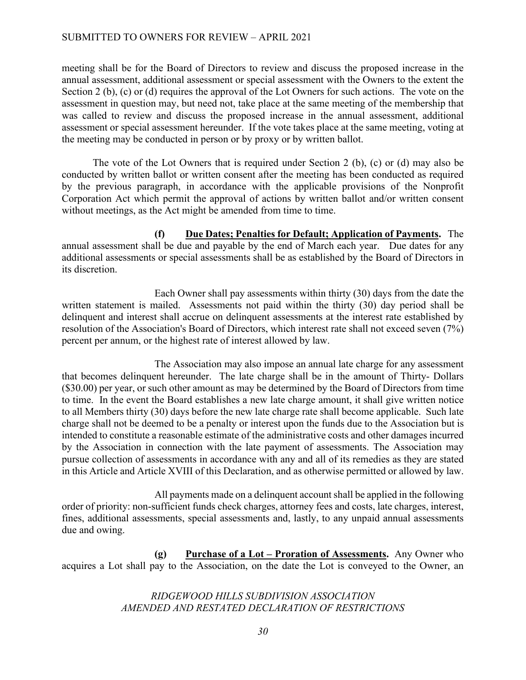### SUBMITTED TO OWNERS FOR REVIEW – APRIL 2021

meeting shall be for the Board of Directors to review and discuss the proposed increase in the annual assessment, additional assessment or special assessment with the Owners to the extent the Section 2 (b), (c) or (d) requires the approval of the Lot Owners for such actions. The vote on the assessment in question may, but need not, take place at the same meeting of the membership that was called to review and discuss the proposed increase in the annual assessment, additional assessment or special assessment hereunder. If the vote takes place at the same meeting, voting at the meeting may be conducted in person or by proxy or by written ballot.

The vote of the Lot Owners that is required under Section 2 (b), (c) or (d) may also be conducted by written ballot or written consent after the meeting has been conducted as required by the previous paragraph, in accordance with the applicable provisions of the Nonprofit Corporation Act which permit the approval of actions by written ballot and/or written consent without meetings, as the Act might be amended from time to time.

**(f) Due Dates; Penalties for Default; Application of Payments.** The annual assessment shall be due and payable by the end of March each year. Due dates for any additional assessments or special assessments shall be as established by the Board of Directors in its discretion.

Each Owner shall pay assessments within thirty (30) days from the date the written statement is mailed. Assessments not paid within the thirty (30) day period shall be delinquent and interest shall accrue on delinquent assessments at the interest rate established by resolution of the Association's Board of Directors, which interest rate shall not exceed seven (7%) percent per annum, or the highest rate of interest allowed by law.

 The Association may also impose an annual late charge for any assessment that becomes delinquent hereunder. The late charge shall be in the amount of Thirty- Dollars (\$30.00) per year, or such other amount as may be determined by the Board of Directors from time to time. In the event the Board establishes a new late charge amount, it shall give written notice to all Members thirty (30) days before the new late charge rate shall become applicable. Such late charge shall not be deemed to be a penalty or interest upon the funds due to the Association but is intended to constitute a reasonable estimate of the administrative costs and other damages incurred by the Association in connection with the late payment of assessments. The Association may pursue collection of assessments in accordance with any and all of its remedies as they are stated in this Article and Article XVIII of this Declaration, and as otherwise permitted or allowed by law.

All payments made on a delinquent account shall be applied in the following order of priority: non-sufficient funds check charges, attorney fees and costs, late charges, interest, fines, additional assessments, special assessments and, lastly, to any unpaid annual assessments due and owing.

**(g) Purchase of a Lot – Proration of Assessments.** Any Owner who acquires a Lot shall pay to the Association, on the date the Lot is conveyed to the Owner, an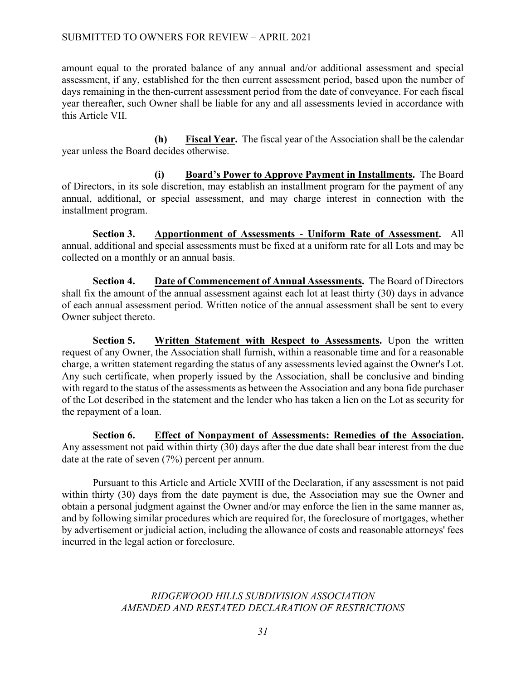amount equal to the prorated balance of any annual and/or additional assessment and special assessment, if any, established for the then current assessment period, based upon the number of days remaining in the then-current assessment period from the date of conveyance. For each fiscal year thereafter, such Owner shall be liable for any and all assessments levied in accordance with this Article VII.

**(h) Fiscal Year.** The fiscal year of the Association shall be the calendar year unless the Board decides otherwise.

**(i) Board's Power to Approve Payment in Installments.** The Board of Directors, in its sole discretion, may establish an installment program for the payment of any annual, additional, or special assessment, and may charge interest in connection with the installment program.

**Section 3. Apportionment of Assessments - Uniform Rate of Assessment.** All annual, additional and special assessments must be fixed at a uniform rate for all Lots and may be collected on a monthly or an annual basis.

**Section 4. Date of Commencement of Annual Assessments.** The Board of Directors shall fix the amount of the annual assessment against each lot at least thirty (30) days in advance of each annual assessment period. Written notice of the annual assessment shall be sent to every Owner subject thereto.

**Section 5. Written Statement with Respect to Assessments.** Upon the written request of any Owner, the Association shall furnish, within a reasonable time and for a reasonable charge, a written statement regarding the status of any assessments levied against the Owner's Lot. Any such certificate, when properly issued by the Association, shall be conclusive and binding with regard to the status of the assessments as between the Association and any bona fide purchaser of the Lot described in the statement and the lender who has taken a lien on the Lot as security for the repayment of a loan.

**Section 6. Effect of Nonpayment of Assessments: Remedies of the Association.**  Any assessment not paid within thirty (30) days after the due date shall bear interest from the due date at the rate of seven (7%) percent per annum.

Pursuant to this Article and Article XVIII of the Declaration, if any assessment is not paid within thirty (30) days from the date payment is due, the Association may sue the Owner and obtain a personal judgment against the Owner and/or may enforce the lien in the same manner as, and by following similar procedures which are required for, the foreclosure of mortgages, whether by advertisement or judicial action, including the allowance of costs and reasonable attorneys' fees incurred in the legal action or foreclosure.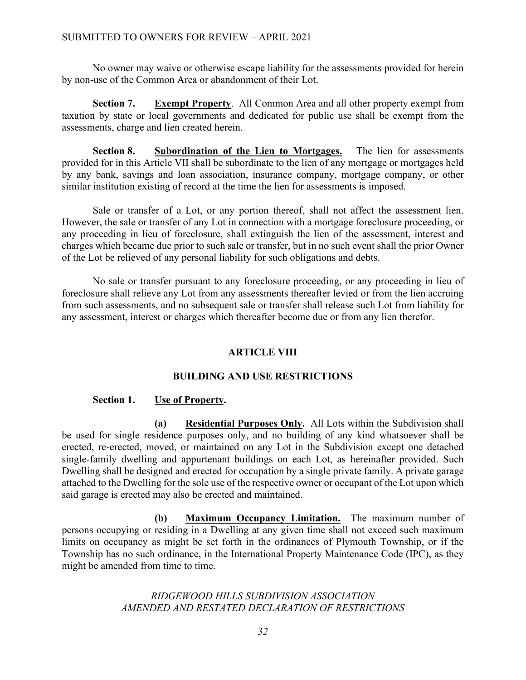No owner may waive or otherwise escape liability for the assessments provided for herein by non-use of the Common Area or abandonment of their Lot.

**Section 7.** Exempt Property. All Common Area and all other property exempt from taxation by state or local governments and dedicated for public use shall be exempt from the assessments, charge and lien created herein.

**Section 8. Subordination of the Lien to Mortgages.** The lien for assessments provided for in this Article VII shall be subordinate to the lien of any mortgage or mortgages held by any bank, savings and loan association, insurance company, mortgage company, or other similar institution existing of record at the time the lien for assessments is imposed.

Sale or transfer of a Lot, or any portion thereof, shall not affect the assessment lien. However, the sale or transfer of any Lot in connection with a mortgage foreclosure proceeding, or any proceeding in lieu of foreclosure, shall extinguish the lien of the assessment, interest and charges which became due prior to such sale or transfer, but in no such event shall the prior Owner of the Lot be relieved of any personal liability for such obligations and debts.

No sale or transfer pursuant to any foreclosure proceeding, or any proceeding in lieu of foreclosure shall relieve any Lot from any assessments thereafter levied or from the lien accruing from such assessments, and no subsequent sale or transfer shall release such Lot from liability for any assessment, interest or charges which thereafter become due or from any lien therefor.

## **ARTICLE VIII**

## **BUILDING AND USE RESTRICTIONS**

## Section 1. Use of Property.

**(a) Residential Purposes Only.** All Lots within the Subdivision shall be used for single residence purposes only, and no building of any kind whatsoever shall be erected, re-erected, moved, or maintained on any Lot in the Subdivision except one detached single-family dwelling and appurtenant buildings on each Lot, as hereinafter provided. Such Dwelling shall be designed and erected for occupation by a single private family. A private garage attached to the Dwelling for the sole use of the respective owner or occupant of the Lot upon which said garage is erected may also be erected and maintained.

**(b) Maximum Occupancy Limitation.** The maximum number of persons occupying or residing in a Dwelling at any given time shall not exceed such maximum limits on occupancy as might be set forth in the ordinances of Plymouth Township, or if the Township has no such ordinance, in the International Property Maintenance Code (IPC), as they might be amended from time to time.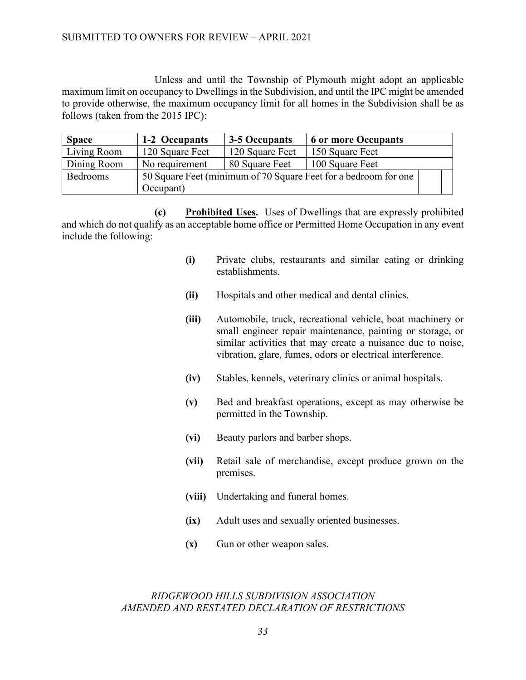Unless and until the Township of Plymouth might adopt an applicable maximum limit on occupancy to Dwellings in the Subdivision, and until the IPC might be amended to provide otherwise, the maximum occupancy limit for all homes in the Subdivision shall be as follows (taken from the 2015 IPC):

| <b>Space</b> | 1-2 Occupants                                                   | 3-5 Occupants   | <b>6 or more Occupants</b> |  |
|--------------|-----------------------------------------------------------------|-----------------|----------------------------|--|
| Living Room  | 120 Square Feet                                                 | 120 Square Feet | 150 Square Feet            |  |
| Dining Room  | No requirement                                                  | 80 Square Feet  | 100 Square Feet            |  |
| Bedrooms     | 50 Square Feet (minimum of 70 Square Feet for a bedroom for one |                 |                            |  |
|              | Occupant)                                                       |                 |                            |  |

**(c) Prohibited Uses.** Uses of Dwellings that are expressly prohibited and which do not qualify as an acceptable home office or Permitted Home Occupation in any event include the following:

- **(i)** Private clubs, restaurants and similar eating or drinking establishments.
- **(ii)** Hospitals and other medical and dental clinics.
- **(iii)** Automobile, truck, recreational vehicle, boat machinery or small engineer repair maintenance, painting or storage, or similar activities that may create a nuisance due to noise, vibration, glare, fumes, odors or electrical interference.
- **(iv)** Stables, kennels, veterinary clinics or animal hospitals.
- **(v)** Bed and breakfast operations, except as may otherwise be permitted in the Township.
- **(vi)** Beauty parlors and barber shops.
- **(vii)** Retail sale of merchandise, except produce grown on the premises.
- **(viii)** Undertaking and funeral homes.
- **(ix)** Adult uses and sexually oriented businesses.
- **(x)** Gun or other weapon sales.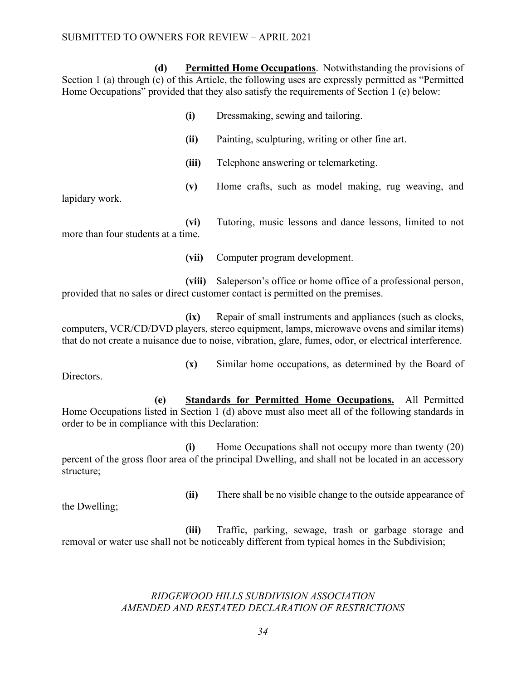**(d) Permitted Home Occupations**. Notwithstanding the provisions of Section 1 (a) through (c) of this Article, the following uses are expressly permitted as "Permitted Home Occupations" provided that they also satisfy the requirements of Section 1 (e) below:

> **(i)** Dressmaking, sewing and tailoring. **(ii)** Painting, sculpturing, writing or other fine art. **(iii)** Telephone answering or telemarketing. **(v)** Home crafts, such as model making, rug weaving, and

**(vi)** Tutoring, music lessons and dance lessons, limited to not more than four students at a time.

**(vii)** Computer program development.

**(viii)** Saleperson's office or home office of a professional person, provided that no sales or direct customer contact is permitted on the premises.

**(ix)** Repair of small instruments and appliances (such as clocks, computers, VCR/CD/DVD players, stereo equipment, lamps, microwave ovens and similar items) that do not create a nuisance due to noise, vibration, glare, fumes, odor, or electrical interference.

Directors.

lapidary work.

**(x)** Similar home occupations, as determined by the Board of

**(e) Standards for Permitted Home Occupations.** All Permitted Home Occupations listed in Section 1 (d) above must also meet all of the following standards in order to be in compliance with this Declaration:

**(i)** Home Occupations shall not occupy more than twenty (20) percent of the gross floor area of the principal Dwelling, and shall not be located in an accessory structure;

**(ii)** There shall be no visible change to the outside appearance of

the Dwelling;

**(iii)** Traffic, parking, sewage, trash or garbage storage and removal or water use shall not be noticeably different from typical homes in the Subdivision;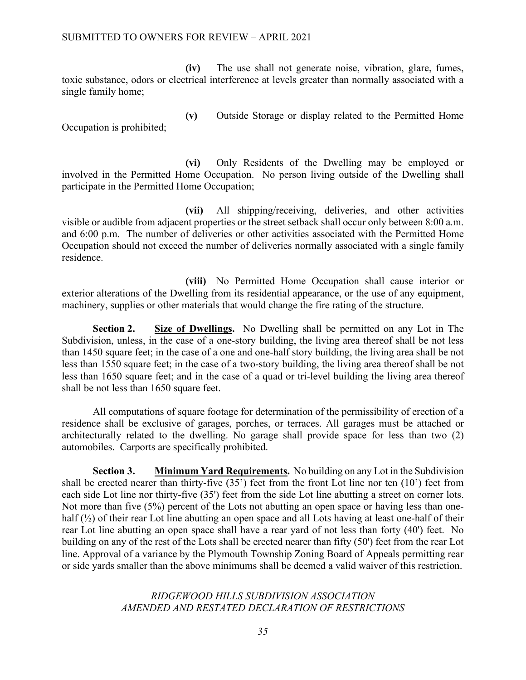### SUBMITTED TO OWNERS FOR REVIEW – APRIL 2021

**(iv)** The use shall not generate noise, vibration, glare, fumes, toxic substance, odors or electrical interference at levels greater than normally associated with a single family home;

Occupation is prohibited;

**(v)** Outside Storage or display related to the Permitted Home

**(vi)** Only Residents of the Dwelling may be employed or involved in the Permitted Home Occupation. No person living outside of the Dwelling shall participate in the Permitted Home Occupation;

**(vii)** All shipping/receiving, deliveries, and other activities visible or audible from adjacent properties or the street setback shall occur only between 8:00 a.m. and 6:00 p.m. The number of deliveries or other activities associated with the Permitted Home Occupation should not exceed the number of deliveries normally associated with a single family residence.

**(viii)** No Permitted Home Occupation shall cause interior or exterior alterations of the Dwelling from its residential appearance, or the use of any equipment, machinery, supplies or other materials that would change the fire rating of the structure.

**Section 2. Size of Dwellings.** No Dwelling shall be permitted on any Lot in The Subdivision, unless, in the case of a one-story building, the living area thereof shall be not less than 1450 square feet; in the case of a one and one-half story building, the living area shall be not less than 1550 square feet; in the case of a two-story building, the living area thereof shall be not less than 1650 square feet; and in the case of a quad or tri-level building the living area thereof shall be not less than 1650 square feet.

All computations of square footage for determination of the permissibility of erection of a residence shall be exclusive of garages, porches, or terraces. All garages must be attached or architecturally related to the dwelling. No garage shall provide space for less than two (2) automobiles. Carports are specifically prohibited.

**Section 3. Minimum Yard Requirements.** No building on any Lot in the Subdivision shall be erected nearer than thirty-five (35') feet from the front Lot line nor ten (10') feet from each side Lot line nor thirty-five (35') feet from the side Lot line abutting a street on corner lots. Not more than five (5%) percent of the Lots not abutting an open space or having less than onehalf ( $\frac{1}{2}$ ) of their rear Lot line abutting an open space and all Lots having at least one-half of their rear Lot line abutting an open space shall have a rear yard of not less than forty (40') feet. No building on any of the rest of the Lots shall be erected nearer than fifty (50') feet from the rear Lot line. Approval of a variance by the Plymouth Township Zoning Board of Appeals permitting rear or side yards smaller than the above minimums shall be deemed a valid waiver of this restriction.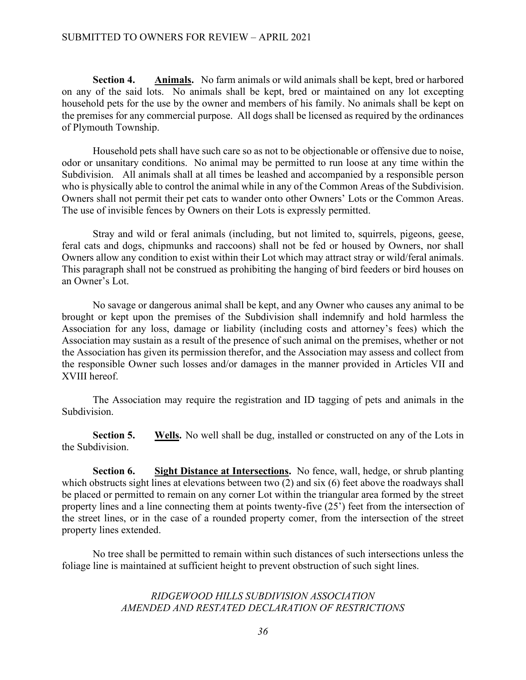**Section 4. Animals.** No farm animals or wild animals shall be kept, bred or harbored on any of the said lots. No animals shall be kept, bred or maintained on any lot excepting household pets for the use by the owner and members of his family. No animals shall be kept on the premises for any commercial purpose. All dogs shall be licensed as required by the ordinances of Plymouth Township.

Household pets shall have such care so as not to be objectionable or offensive due to noise, odor or unsanitary conditions. No animal may be permitted to run loose at any time within the Subdivision. All animals shall at all times be leashed and accompanied by a responsible person who is physically able to control the animal while in any of the Common Areas of the Subdivision. Owners shall not permit their pet cats to wander onto other Owners' Lots or the Common Areas. The use of invisible fences by Owners on their Lots is expressly permitted.

Stray and wild or feral animals (including, but not limited to, squirrels, pigeons, geese, feral cats and dogs, chipmunks and raccoons) shall not be fed or housed by Owners, nor shall Owners allow any condition to exist within their Lot which may attract stray or wild/feral animals. This paragraph shall not be construed as prohibiting the hanging of bird feeders or bird houses on an Owner's Lot.

No savage or dangerous animal shall be kept, and any Owner who causes any animal to be brought or kept upon the premises of the Subdivision shall indemnify and hold harmless the Association for any loss, damage or liability (including costs and attorney's fees) which the Association may sustain as a result of the presence of such animal on the premises, whether or not the Association has given its permission therefor, and the Association may assess and collect from the responsible Owner such losses and/or damages in the manner provided in Articles VII and XVIII hereof.

The Association may require the registration and ID tagging of pets and animals in the Subdivision.

**Section 5.** Wells. No well shall be dug, installed or constructed on any of the Lots in the Subdivision.

**Section 6. Sight Distance at Intersections.** No fence, wall, hedge, or shrub planting which obstructs sight lines at elevations between two (2) and six (6) feet above the roadways shall be placed or permitted to remain on any corner Lot within the triangular area formed by the street property lines and a line connecting them at points twenty-five (25') feet from the intersection of the street lines, or in the case of a rounded property comer, from the intersection of the street property lines extended.

No tree shall be permitted to remain within such distances of such intersections unless the foliage line is maintained at sufficient height to prevent obstruction of such sight lines.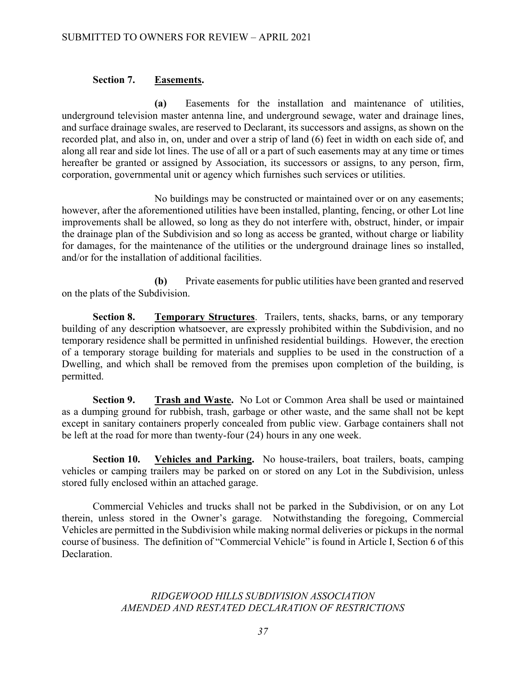### **Section 7. Easements.**

**(a)** Easements for the installation and maintenance of utilities, underground television master antenna line, and underground sewage, water and drainage lines, and surface drainage swales, are reserved to Declarant, its successors and assigns, as shown on the recorded plat, and also in, on, under and over a strip of land (6) feet in width on each side of, and along all rear and side lot lines. The use of all or a part of such easements may at any time or times hereafter be granted or assigned by Association, its successors or assigns, to any person, firm, corporation, governmental unit or agency which furnishes such services or utilities.

No buildings may be constructed or maintained over or on any easements; however, after the aforementioned utilities have been installed, planting, fencing, or other Lot line improvements shall be allowed, so long as they do not interfere with, obstruct, hinder, or impair the drainage plan of the Subdivision and so long as access be granted, without charge or liability for damages, for the maintenance of the utilities or the underground drainage lines so installed, and/or for the installation of additional facilities.

**(b)** Private easements for public utilities have been granted and reserved on the plats of the Subdivision.

**Section 8. Temporary Structures**. Trailers, tents, shacks, barns, or any temporary building of any description whatsoever, are expressly prohibited within the Subdivision, and no temporary residence shall be permitted in unfinished residential buildings. However, the erection of a temporary storage building for materials and supplies to be used in the construction of a Dwelling, and which shall be removed from the premises upon completion of the building, is permitted.

**Section 9. Trash and Waste.** No Lot or Common Area shall be used or maintained as a dumping ground for rubbish, trash, garbage or other waste, and the same shall not be kept except in sanitary containers properly concealed from public view. Garbage containers shall not be left at the road for more than twenty-four (24) hours in any one week.

**Section 10. Vehicles and Parking.** No house-trailers, boat trailers, boats, camping vehicles or camping trailers may be parked on or stored on any Lot in the Subdivision, unless stored fully enclosed within an attached garage.

Commercial Vehicles and trucks shall not be parked in the Subdivision, or on any Lot therein, unless stored in the Owner's garage. Notwithstanding the foregoing, Commercial Vehicles are permitted in the Subdivision while making normal deliveries or pickups in the normal course of business. The definition of "Commercial Vehicle" is found in Article I, Section 6 of this Declaration.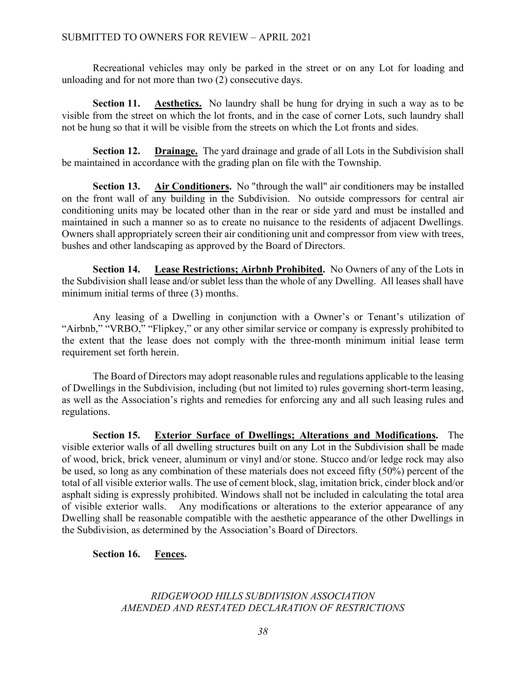Recreational vehicles may only be parked in the street or on any Lot for loading and unloading and for not more than two (2) consecutive days.

**Section 11. Aesthetics.** No laundry shall be hung for drying in such a way as to be visible from the street on which the lot fronts, and in the case of corner Lots, such laundry shall not be hung so that it will be visible from the streets on which the Lot fronts and sides.

**Section 12. Drainage.** The yard drainage and grade of all Lots in the Subdivision shall be maintained in accordance with the grading plan on file with the Township.

**Section 13.** Air Conditioners. No "through the wall" air conditioners may be installed on the front wall of any building in the Subdivision. No outside compressors for central air conditioning units may be located other than in the rear or side yard and must be installed and maintained in such a manner so as to create no nuisance to the residents of adjacent Dwellings. Owners shall appropriately screen their air conditioning unit and compressor from view with trees, bushes and other landscaping as approved by the Board of Directors.

**Section 14. Lease Restrictions; Airbnb Prohibited.** No Owners of any of the Lots in the Subdivision shall lease and/or sublet less than the whole of any Dwelling. All leases shall have minimum initial terms of three (3) months.

Any leasing of a Dwelling in conjunction with a Owner's or Tenant's utilization of "Airbnb," "VRBO," "Flipkey," or any other similar service or company is expressly prohibited to the extent that the lease does not comply with the three-month minimum initial lease term requirement set forth herein.

The Board of Directors may adopt reasonable rules and regulations applicable to the leasing of Dwellings in the Subdivision, including (but not limited to) rules governing short-term leasing, as well as the Association's rights and remedies for enforcing any and all such leasing rules and regulations.

**Section 15. Exterior Surface of Dwellings; Alterations and Modifications.** The visible exterior walls of all dwelling structures built on any Lot in the Subdivision shall be made of wood, brick, brick veneer, aluminum or vinyl and/or stone. Stucco and/or ledge rock may also be used, so long as any combination of these materials does not exceed fifty (50%) percent of the total of all visible exterior walls. The use of cement block, slag, imitation brick, cinder block and/or asphalt siding is expressly prohibited. Windows shall not be included in calculating the total area of visible exterior walls. Any modifications or alterations to the exterior appearance of any Dwelling shall be reasonable compatible with the aesthetic appearance of the other Dwellings in the Subdivision, as determined by the Association's Board of Directors.

**Section 16. Fences.**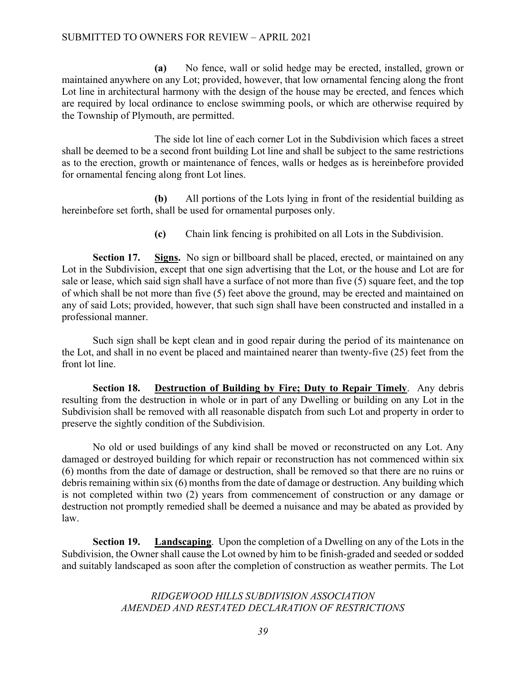**(a)** No fence, wall or solid hedge may be erected, installed, grown or maintained anywhere on any Lot; provided, however, that low ornamental fencing along the front Lot line in architectural harmony with the design of the house may be erected, and fences which are required by local ordinance to enclose swimming pools, or which are otherwise required by the Township of Plymouth, are permitted.

The side lot line of each corner Lot in the Subdivision which faces a street shall be deemed to be a second front building Lot line and shall be subject to the same restrictions as to the erection, growth or maintenance of fences, walls or hedges as is hereinbefore provided for ornamental fencing along front Lot lines.

**(b)** All portions of the Lots lying in front of the residential building as hereinbefore set forth, shall be used for ornamental purposes only.

**(c)** Chain link fencing is prohibited on all Lots in the Subdivision.

**Section 17. Signs.** No sign or billboard shall be placed, erected, or maintained on any Lot in the Subdivision, except that one sign advertising that the Lot, or the house and Lot are for sale or lease, which said sign shall have a surface of not more than five (5) square feet, and the top of which shall be not more than five (5) feet above the ground, may be erected and maintained on any of said Lots; provided, however, that such sign shall have been constructed and installed in a professional manner.

Such sign shall be kept clean and in good repair during the period of its maintenance on the Lot, and shall in no event be placed and maintained nearer than twenty-five (25) feet from the front lot line.

**Section 18. Destruction of Building by Fire; Duty to Repair Timely**. Any debris resulting from the destruction in whole or in part of any Dwelling or building on any Lot in the Subdivision shall be removed with all reasonable dispatch from such Lot and property in order to preserve the sightly condition of the Subdivision.

No old or used buildings of any kind shall be moved or reconstructed on any Lot. Any damaged or destroyed building for which repair or reconstruction has not commenced within six (6) months from the date of damage or destruction, shall be removed so that there are no ruins or debris remaining within six (6) months from the date of damage or destruction. Any building which is not completed within two (2) years from commencement of construction or any damage or destruction not promptly remedied shall be deemed a nuisance and may be abated as provided by law.

**Section 19. Landscaping**. Upon the completion of a Dwelling on any of the Lots in the Subdivision, the Owner shall cause the Lot owned by him to be finish-graded and seeded or sodded and suitably landscaped as soon after the completion of construction as weather permits. The Lot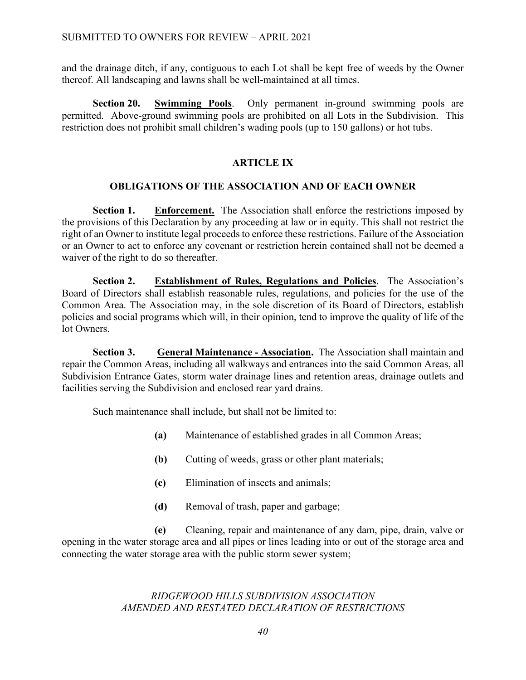and the drainage ditch, if any, contiguous to each Lot shall be kept free of weeds by the Owner thereof. All landscaping and lawns shall be well-maintained at all times.

**Section 20. Swimming Pools**. Only permanent in-ground swimming pools are permitted. Above-ground swimming pools are prohibited on all Lots in the Subdivision. This restriction does not prohibit small children's wading pools (up to 150 gallons) or hot tubs.

## **ARTICLE IX**

## **OBLIGATIONS OF THE ASSOCIATION AND OF EACH OWNER**

**Section 1. Enforcement.** The Association shall enforce the restrictions imposed by the provisions of this Declaration by any proceeding at law or in equity. This shall not restrict the right of an Owner to institute legal proceeds to enforce these restrictions. Failure of the Association or an Owner to act to enforce any covenant or restriction herein contained shall not be deemed a waiver of the right to do so thereafter.

**Section 2. Establishment of Rules, Regulations and Policies**. The Association's Board of Directors shall establish reasonable rules, regulations, and policies for the use of the Common Area. The Association may, in the sole discretion of its Board of Directors, establish policies and social programs which will, in their opinion, tend to improve the quality of life of the lot Owners.

**Section 3. General Maintenance - Association.** The Association shall maintain and repair the Common Areas, including all walkways and entrances into the said Common Areas, all Subdivision Entrance Gates, storm water drainage lines and retention areas, drainage outlets and facilities serving the Subdivision and enclosed rear yard drains.

Such maintenance shall include, but shall not be limited to:

- **(a)** Maintenance of established grades in all Common Areas;
- **(b)** Cutting of weeds, grass or other plant materials;
- **(c)** Elimination of insects and animals;
- **(d)** Removal of trash, paper and garbage;

**(e)** Cleaning, repair and maintenance of any dam, pipe, drain, valve or opening in the water storage area and all pipes or lines leading into or out of the storage area and connecting the water storage area with the public storm sewer system;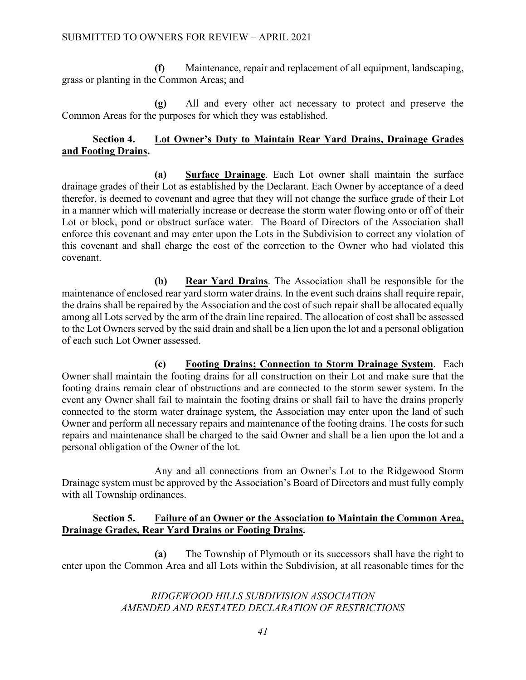**(f)** Maintenance, repair and replacement of all equipment, landscaping, grass or planting in the Common Areas; and

**(g)** All and every other act necessary to protect and preserve the Common Areas for the purposes for which they was established.

## **Section 4. Lot Owner's Duty to Maintain Rear Yard Drains, Drainage Grades and Footing Drains.**

**(a) Surface Drainage**. Each Lot owner shall maintain the surface drainage grades of their Lot as established by the Declarant. Each Owner by acceptance of a deed therefor, is deemed to covenant and agree that they will not change the surface grade of their Lot in a manner which will materially increase or decrease the storm water flowing onto or off of their Lot or block, pond or obstruct surface water. The Board of Directors of the Association shall enforce this covenant and may enter upon the Lots in the Subdivision to correct any violation of this covenant and shall charge the cost of the correction to the Owner who had violated this covenant.

**(b) Rear Yard Drains**. The Association shall be responsible for the maintenance of enclosed rear yard storm water drains. In the event such drains shall require repair, the drains shall be repaired by the Association and the cost of such repair shall be allocated equally among all Lots served by the arm of the drain line repaired. The allocation of cost shall be assessed to the Lot Owners served by the said drain and shall be a lien upon the lot and a personal obligation of each such Lot Owner assessed.

**(c) Footing Drains; Connection to Storm Drainage System**. Each Owner shall maintain the footing drains for all construction on their Lot and make sure that the footing drains remain clear of obstructions and are connected to the storm sewer system. In the event any Owner shall fail to maintain the footing drains or shall fail to have the drains properly connected to the storm water drainage system, the Association may enter upon the land of such Owner and perform all necessary repairs and maintenance of the footing drains. The costs for such repairs and maintenance shall be charged to the said Owner and shall be a lien upon the lot and a personal obligation of the Owner of the lot.

Any and all connections from an Owner's Lot to the Ridgewood Storm Drainage system must be approved by the Association's Board of Directors and must fully comply with all Township ordinances.

## **Section 5. Failure of an Owner or the Association to Maintain the Common Area, Drainage Grades, Rear Yard Drains or Footing Drains.**

**(a)** The Township of Plymouth or its successors shall have the right to enter upon the Common Area and all Lots within the Subdivision, at all reasonable times for the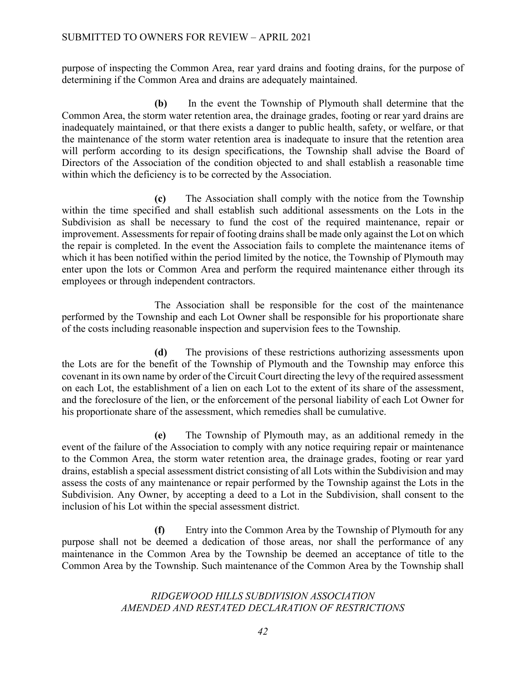purpose of inspecting the Common Area, rear yard drains and footing drains, for the purpose of determining if the Common Area and drains are adequately maintained.

**(b)** In the event the Township of Plymouth shall determine that the Common Area, the storm water retention area, the drainage grades, footing or rear yard drains are inadequately maintained, or that there exists a danger to public health, safety, or welfare, or that the maintenance of the storm water retention area is inadequate to insure that the retention area will perform according to its design specifications, the Township shall advise the Board of Directors of the Association of the condition objected to and shall establish a reasonable time within which the deficiency is to be corrected by the Association.

**(c)** The Association shall comply with the notice from the Township within the time specified and shall establish such additional assessments on the Lots in the Subdivision as shall be necessary to fund the cost of the required maintenance, repair or improvement. Assessments for repair of footing drains shall be made only against the Lot on which the repair is completed. In the event the Association fails to complete the maintenance items of which it has been notified within the period limited by the notice, the Township of Plymouth may enter upon the lots or Common Area and perform the required maintenance either through its employees or through independent contractors.

The Association shall be responsible for the cost of the maintenance performed by the Township and each Lot Owner shall be responsible for his proportionate share of the costs including reasonable inspection and supervision fees to the Township.

**(d)** The provisions of these restrictions authorizing assessments upon the Lots are for the benefit of the Township of Plymouth and the Township may enforce this covenant in its own name by order of the Circuit Court directing the levy of the required assessment on each Lot, the establishment of a lien on each Lot to the extent of its share of the assessment, and the foreclosure of the lien, or the enforcement of the personal liability of each Lot Owner for his proportionate share of the assessment, which remedies shall be cumulative.

**(e)** The Township of Plymouth may, as an additional remedy in the event of the failure of the Association to comply with any notice requiring repair or maintenance to the Common Area, the storm water retention area, the drainage grades, footing or rear yard drains, establish a special assessment district consisting of all Lots within the Subdivision and may assess the costs of any maintenance or repair performed by the Township against the Lots in the Subdivision. Any Owner, by accepting a deed to a Lot in the Subdivision, shall consent to the inclusion of his Lot within the special assessment district.

**(f)** Entry into the Common Area by the Township of Plymouth for any purpose shall not be deemed a dedication of those areas, nor shall the performance of any maintenance in the Common Area by the Township be deemed an acceptance of title to the Common Area by the Township. Such maintenance of the Common Area by the Township shall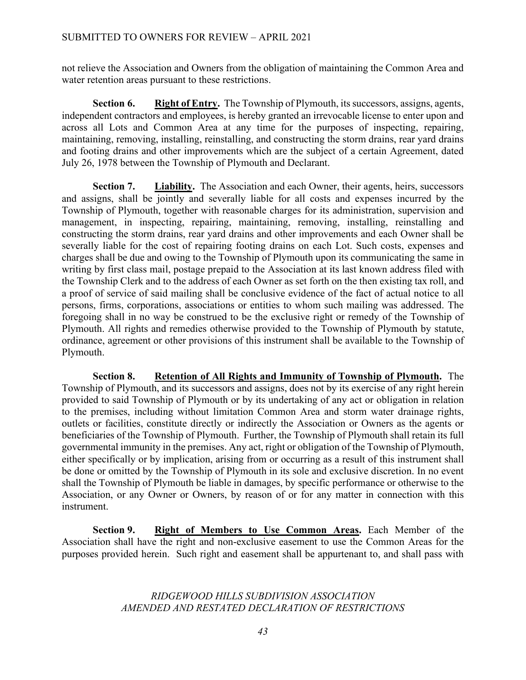not relieve the Association and Owners from the obligation of maintaining the Common Area and water retention areas pursuant to these restrictions.

**Section 6.** Right of Entry. The Township of Plymouth, its successors, assigns, agents, independent contractors and employees, is hereby granted an irrevocable license to enter upon and across all Lots and Common Area at any time for the purposes of inspecting, repairing, maintaining, removing, installing, reinstalling, and constructing the storm drains, rear yard drains and footing drains and other improvements which are the subject of a certain Agreement, dated July 26, 1978 between the Township of Plymouth and Declarant.

**Section 7.** Liability. The Association and each Owner, their agents, heirs, successors and assigns, shall be jointly and severally liable for all costs and expenses incurred by the Township of Plymouth, together with reasonable charges for its administration, supervision and management, in inspecting, repairing, maintaining, removing, installing, reinstalling and constructing the storm drains, rear yard drains and other improvements and each Owner shall be severally liable for the cost of repairing footing drains on each Lot. Such costs, expenses and charges shall be due and owing to the Township of Plymouth upon its communicating the same in writing by first class mail, postage prepaid to the Association at its last known address filed with the Township Clerk and to the address of each Owner as set forth on the then existing tax roll, and a proof of service of said mailing shall be conclusive evidence of the fact of actual notice to all persons, firms, corporations, associations or entities to whom such mailing was addressed. The foregoing shall in no way be construed to be the exclusive right or remedy of the Township of Plymouth. All rights and remedies otherwise provided to the Township of Plymouth by statute, ordinance, agreement or other provisions of this instrument shall be available to the Township of Plymouth.

**Section 8.** Retention of All Rights and Immunity of Township of Plymouth. The Township of Plymouth, and its successors and assigns, does not by its exercise of any right herein provided to said Township of Plymouth or by its undertaking of any act or obligation in relation to the premises, including without limitation Common Area and storm water drainage rights, outlets or facilities, constitute directly or indirectly the Association or Owners as the agents or beneficiaries of the Township of Plymouth. Further, the Township of Plymouth shall retain its full governmental immunity in the premises. Any act, right or obligation of the Township of Plymouth, either specifically or by implication, arising from or occurring as a result of this instrument shall be done or omitted by the Township of Plymouth in its sole and exclusive discretion. In no event shall the Township of Plymouth be liable in damages, by specific performance or otherwise to the Association, or any Owner or Owners, by reason of or for any matter in connection with this instrument.

**Section 9. Right of Members to Use Common Areas.** Each Member of the Association shall have the right and non-exclusive easement to use the Common Areas for the purposes provided herein. Such right and easement shall be appurtenant to, and shall pass with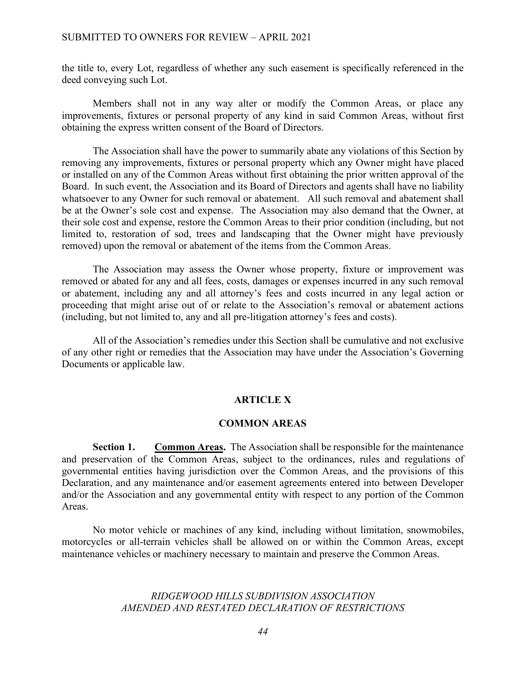the title to, every Lot, regardless of whether any such easement is specifically referenced in the deed conveying such Lot.

Members shall not in any way alter or modify the Common Areas, or place any improvements, fixtures or personal property of any kind in said Common Areas, without first obtaining the express written consent of the Board of Directors.

The Association shall have the power to summarily abate any violations of this Section by removing any improvements, fixtures or personal property which any Owner might have placed or installed on any of the Common Areas without first obtaining the prior written approval of the Board. In such event, the Association and its Board of Directors and agents shall have no liability whatsoever to any Owner for such removal or abatement. All such removal and abatement shall be at the Owner's sole cost and expense. The Association may also demand that the Owner, at their sole cost and expense, restore the Common Areas to their prior condition (including, but not limited to, restoration of sod, trees and landscaping that the Owner might have previously removed) upon the removal or abatement of the items from the Common Areas.

The Association may assess the Owner whose property, fixture or improvement was removed or abated for any and all fees, costs, damages or expenses incurred in any such removal or abatement, including any and all attorney's fees and costs incurred in any legal action or proceeding that might arise out of or relate to the Association's removal or abatement actions (including, but not limited to, any and all pre-litigation attorney's fees and costs).

All of the Association's remedies under this Section shall be cumulative and not exclusive of any other right or remedies that the Association may have under the Association's Governing Documents or applicable law.

#### **ARTICLE X**

#### **COMMON AREAS**

**Section 1.** Common Areas. The Association shall be responsible for the maintenance and preservation of the Common Areas, subject to the ordinances, rules and regulations of governmental entities having jurisdiction over the Common Areas, and the provisions of this Declaration, and any maintenance and/or easement agreements entered into between Developer and/or the Association and any governmental entity with respect to any portion of the Common Areas.

No motor vehicle or machines of any kind, including without limitation, snowmobiles, motorcycles or all-terrain vehicles shall be allowed on or within the Common Areas, except maintenance vehicles or machinery necessary to maintain and preserve the Common Areas.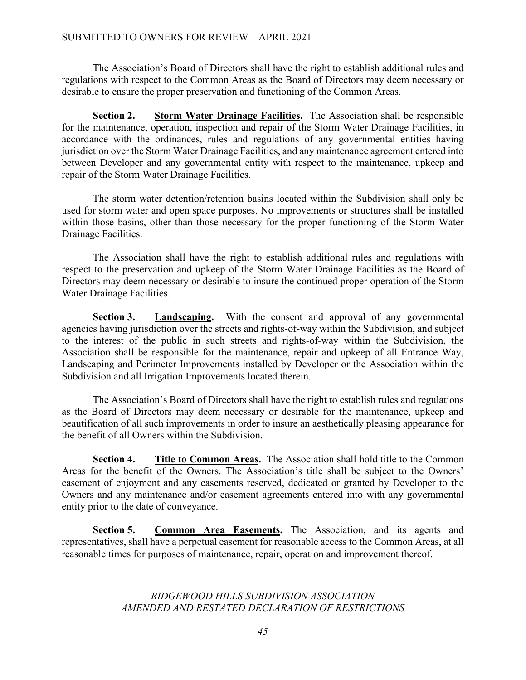The Association's Board of Directors shall have the right to establish additional rules and regulations with respect to the Common Areas as the Board of Directors may deem necessary or desirable to ensure the proper preservation and functioning of the Common Areas.

**Section 2. Storm Water Drainage Facilities.** The Association shall be responsible for the maintenance, operation, inspection and repair of the Storm Water Drainage Facilities, in accordance with the ordinances, rules and regulations of any governmental entities having jurisdiction over the Storm Water Drainage Facilities, and any maintenance agreement entered into between Developer and any governmental entity with respect to the maintenance, upkeep and repair of the Storm Water Drainage Facilities.

The storm water detention/retention basins located within the Subdivision shall only be used for storm water and open space purposes. No improvements or structures shall be installed within those basins, other than those necessary for the proper functioning of the Storm Water Drainage Facilities.

The Association shall have the right to establish additional rules and regulations with respect to the preservation and upkeep of the Storm Water Drainage Facilities as the Board of Directors may deem necessary or desirable to insure the continued proper operation of the Storm Water Drainage Facilities.

**Section 3. Landscaping.** With the consent and approval of any governmental agencies having jurisdiction over the streets and rights-of-way within the Subdivision, and subject to the interest of the public in such streets and rights-of-way within the Subdivision, the Association shall be responsible for the maintenance, repair and upkeep of all Entrance Way, Landscaping and Perimeter Improvements installed by Developer or the Association within the Subdivision and all Irrigation Improvements located therein.

The Association's Board of Directors shall have the right to establish rules and regulations as the Board of Directors may deem necessary or desirable for the maintenance, upkeep and beautification of all such improvements in order to insure an aesthetically pleasing appearance for the benefit of all Owners within the Subdivision.

**Section 4. Title to Common Areas.** The Association shall hold title to the Common Areas for the benefit of the Owners. The Association's title shall be subject to the Owners' easement of enjoyment and any easements reserved, dedicated or granted by Developer to the Owners and any maintenance and/or easement agreements entered into with any governmental entity prior to the date of conveyance.

**Section 5. Common Area Easements.** The Association, and its agents and representatives, shall have a perpetual easement for reasonable access to the Common Areas, at all reasonable times for purposes of maintenance, repair, operation and improvement thereof.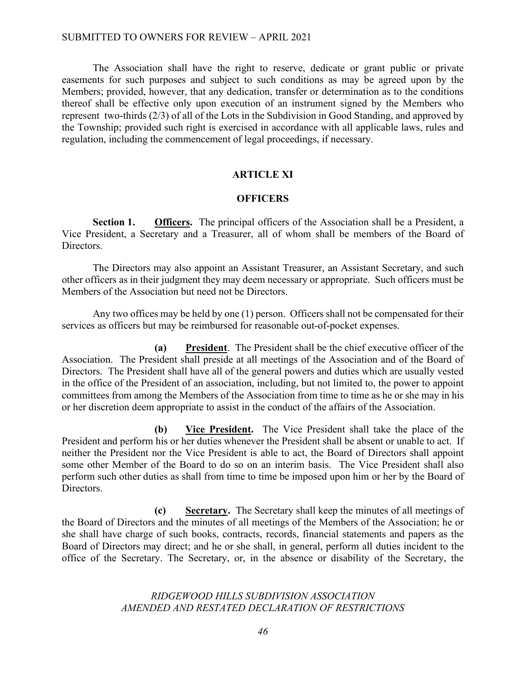The Association shall have the right to reserve, dedicate or grant public or private easements for such purposes and subject to such conditions as may be agreed upon by the Members; provided, however, that any dedication, transfer or determination as to the conditions thereof shall be effective only upon execution of an instrument signed by the Members who represent two-thirds (2/3) of all of the Lots in the Subdivision in Good Standing, and approved by the Township; provided such right is exercised in accordance with all applicable laws, rules and regulation, including the commencement of legal proceedings, if necessary.

### **ARTICLE XI**

### **OFFICERS**

**Section 1. Officers.** The principal officers of the Association shall be a President, a Vice President, a Secretary and a Treasurer, all of whom shall be members of the Board of Directors.

The Directors may also appoint an Assistant Treasurer, an Assistant Secretary, and such other officers as in their judgment they may deem necessary or appropriate. Such officers must be Members of the Association but need not be Directors.

Any two offices may be held by one (1) person. Officers shall not be compensated for their services as officers but may be reimbursed for reasonable out-of-pocket expenses.

**(a) President**. The President shall be the chief executive officer of the Association. The President shall preside at all meetings of the Association and of the Board of Directors. The President shall have all of the general powers and duties which are usually vested in the office of the President of an association, including, but not limited to, the power to appoint committees from among the Members of the Association from time to time as he or she may in his or her discretion deem appropriate to assist in the conduct of the affairs of the Association.

**(b) Vice President.** The Vice President shall take the place of the President and perform his or her duties whenever the President shall be absent or unable to act. If neither the President nor the Vice President is able to act, the Board of Directors shall appoint some other Member of the Board to do so on an interim basis. The Vice President shall also perform such other duties as shall from time to time be imposed upon him or her by the Board of Directors.

**(c) Secretary.** The Secretary shall keep the minutes of all meetings of the Board of Directors and the minutes of all meetings of the Members of the Association; he or she shall have charge of such books, contracts, records, financial statements and papers as the Board of Directors may direct; and he or she shall, in general, perform all duties incident to the office of the Secretary. The Secretary, or, in the absence or disability of the Secretary, the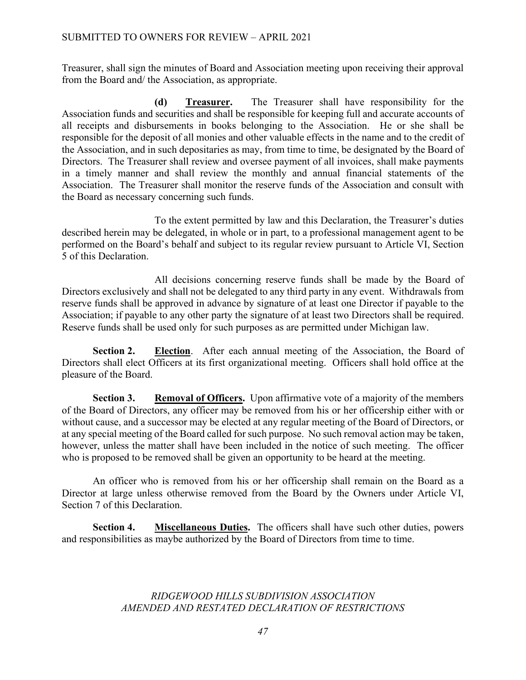Treasurer, shall sign the minutes of Board and Association meeting upon receiving their approval from the Board and/ the Association, as appropriate.

**(d) Treasurer.** The Treasurer shall have responsibility for the Association funds and securities and shall be responsible for keeping full and accurate accounts of all receipts and disbursements in books belonging to the Association. He or she shall be responsible for the deposit of all monies and other valuable effects in the name and to the credit of the Association, and in such depositaries as may, from time to time, be designated by the Board of Directors. The Treasurer shall review and oversee payment of all invoices, shall make payments in a timely manner and shall review the monthly and annual financial statements of the Association. The Treasurer shall monitor the reserve funds of the Association and consult with the Board as necessary concerning such funds.

 To the extent permitted by law and this Declaration, the Treasurer's duties described herein may be delegated, in whole or in part, to a professional management agent to be performed on the Board's behalf and subject to its regular review pursuant to Article VI, Section 5 of this Declaration.

All decisions concerning reserve funds shall be made by the Board of Directors exclusively and shall not be delegated to any third party in any event. Withdrawals from reserve funds shall be approved in advance by signature of at least one Director if payable to the Association; if payable to any other party the signature of at least two Directors shall be required. Reserve funds shall be used only for such purposes as are permitted under Michigan law.

**Section 2. Election**. After each annual meeting of the Association, the Board of Directors shall elect Officers at its first organizational meeting. Officers shall hold office at the pleasure of the Board.

**Section 3. Removal of Officers.** Upon affirmative vote of a majority of the members of the Board of Directors, any officer may be removed from his or her officership either with or without cause, and a successor may be elected at any regular meeting of the Board of Directors, or at any special meeting of the Board called for such purpose. No such removal action may be taken, however, unless the matter shall have been included in the notice of such meeting. The officer who is proposed to be removed shall be given an opportunity to be heard at the meeting.

An officer who is removed from his or her officership shall remain on the Board as a Director at large unless otherwise removed from the Board by the Owners under Article VI, Section 7 of this Declaration.

**Section 4. Miscellaneous Duties.** The officers shall have such other duties, powers and responsibilities as maybe authorized by the Board of Directors from time to time.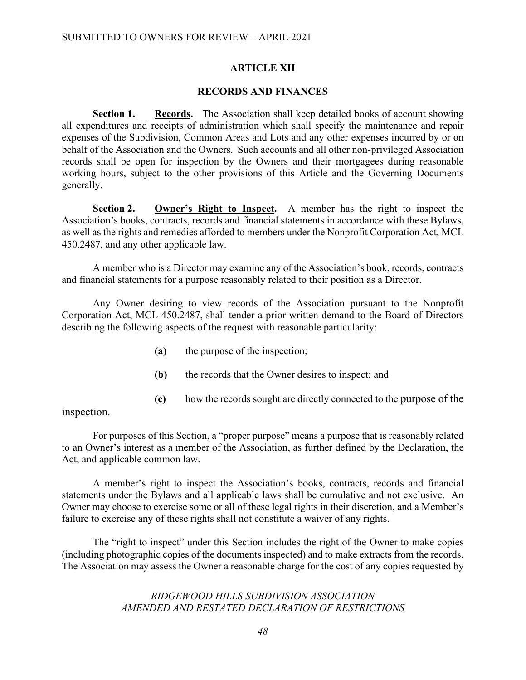### **ARTICLE XII**

### **RECORDS AND FINANCES**

**Section 1.** Records. The Association shall keep detailed books of account showing all expenditures and receipts of administration which shall specify the maintenance and repair expenses of the Subdivision, Common Areas and Lots and any other expenses incurred by or on behalf of the Association and the Owners. Such accounts and all other non-privileged Association records shall be open for inspection by the Owners and their mortgagees during reasonable working hours, subject to the other provisions of this Article and the Governing Documents generally.

**Section 2. Owner's Right to Inspect.** A member has the right to inspect the Association's books, contracts, records and financial statements in accordance with these Bylaws, as well as the rights and remedies afforded to members under the Nonprofit Corporation Act, MCL 450.2487, and any other applicable law.

A member who is a Director may examine any of the Association's book, records, contracts and financial statements for a purpose reasonably related to their position as a Director.

Any Owner desiring to view records of the Association pursuant to the Nonprofit Corporation Act, MCL 450.2487, shall tender a prior written demand to the Board of Directors describing the following aspects of the request with reasonable particularity:

- **(a)** the purpose of the inspection;
- **(b)** the records that the Owner desires to inspect; and
- **(c)** how the records sought are directly connected to the purpose of the

inspection.

For purposes of this Section, a "proper purpose" means a purpose that is reasonably related to an Owner's interest as a member of the Association, as further defined by the Declaration, the Act, and applicable common law.

A member's right to inspect the Association's books, contracts, records and financial statements under the Bylaws and all applicable laws shall be cumulative and not exclusive. An Owner may choose to exercise some or all of these legal rights in their discretion, and a Member's failure to exercise any of these rights shall not constitute a waiver of any rights.

The "right to inspect" under this Section includes the right of the Owner to make copies (including photographic copies of the documents inspected) and to make extracts from the records. The Association may assess the Owner a reasonable charge for the cost of any copies requested by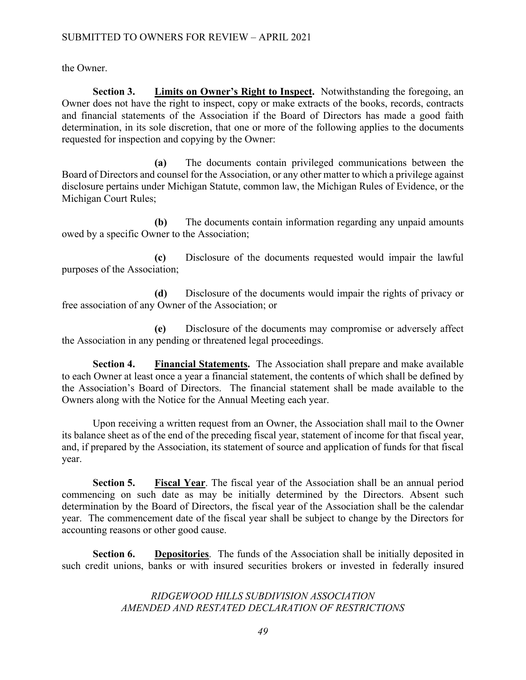the Owner.

**Section 3. Limits on Owner's Right to Inspect.** Notwithstanding the foregoing, an Owner does not have the right to inspect, copy or make extracts of the books, records, contracts and financial statements of the Association if the Board of Directors has made a good faith determination, in its sole discretion, that one or more of the following applies to the documents requested for inspection and copying by the Owner:

**(a)** The documents contain privileged communications between the Board of Directors and counsel for the Association, or any other matter to which a privilege against disclosure pertains under Michigan Statute, common law, the Michigan Rules of Evidence, or the Michigan Court Rules;

**(b)** The documents contain information regarding any unpaid amounts owed by a specific Owner to the Association;

**(c)** Disclosure of the documents requested would impair the lawful purposes of the Association;

**(d)** Disclosure of the documents would impair the rights of privacy or free association of any Owner of the Association; or

**(e)** Disclosure of the documents may compromise or adversely affect the Association in any pending or threatened legal proceedings.

**Section 4. Financial Statements.** The Association shall prepare and make available to each Owner at least once a year a financial statement, the contents of which shall be defined by the Association's Board of Directors. The financial statement shall be made available to the Owners along with the Notice for the Annual Meeting each year.

Upon receiving a written request from an Owner, the Association shall mail to the Owner its balance sheet as of the end of the preceding fiscal year, statement of income for that fiscal year, and, if prepared by the Association, its statement of source and application of funds for that fiscal year.

**Section 5. Fiscal Year**. The fiscal year of the Association shall be an annual period commencing on such date as may be initially determined by the Directors. Absent such determination by the Board of Directors, the fiscal year of the Association shall be the calendar year. The commencement date of the fiscal year shall be subject to change by the Directors for accounting reasons or other good cause.

**Section 6. Depositories**. The funds of the Association shall be initially deposited in such credit unions, banks or with insured securities brokers or invested in federally insured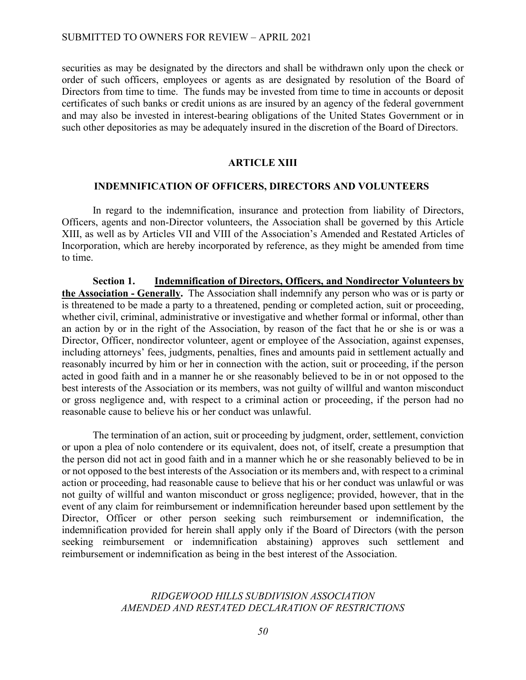securities as may be designated by the directors and shall be withdrawn only upon the check or order of such officers, employees or agents as are designated by resolution of the Board of Directors from time to time. The funds may be invested from time to time in accounts or deposit certificates of such banks or credit unions as are insured by an agency of the federal government and may also be invested in interest-bearing obligations of the United States Government or in such other depositories as may be adequately insured in the discretion of the Board of Directors.

### **ARTICLE XIII**

#### **INDEMNIFICATION OF OFFICERS, DIRECTORS AND VOLUNTEERS**

In regard to the indemnification, insurance and protection from liability of Directors, Officers, agents and non-Director volunteers, the Association shall be governed by this Article XIII, as well as by Articles VII and VIII of the Association's Amended and Restated Articles of Incorporation, which are hereby incorporated by reference, as they might be amended from time to time.

**Section 1. Indemnification of Directors, Officers, and Nondirector Volunteers by the Association - Generally.** The Association shall indemnify any person who was or is party or is threatened to be made a party to a threatened, pending or completed action, suit or proceeding, whether civil, criminal, administrative or investigative and whether formal or informal, other than an action by or in the right of the Association, by reason of the fact that he or she is or was a Director, Officer, nondirector volunteer, agent or employee of the Association, against expenses, including attorneys' fees, judgments, penalties, fines and amounts paid in settlement actually and reasonably incurred by him or her in connection with the action, suit or proceeding, if the person acted in good faith and in a manner he or she reasonably believed to be in or not opposed to the best interests of the Association or its members, was not guilty of willful and wanton misconduct or gross negligence and, with respect to a criminal action or proceeding, if the person had no reasonable cause to believe his or her conduct was unlawful.

The termination of an action, suit or proceeding by judgment, order, settlement, conviction or upon a plea of nolo contendere or its equivalent, does not, of itself, create a presumption that the person did not act in good faith and in a manner which he or she reasonably believed to be in or not opposed to the best interests of the Association or its members and, with respect to a criminal action or proceeding, had reasonable cause to believe that his or her conduct was unlawful or was not guilty of willful and wanton misconduct or gross negligence; provided, however, that in the event of any claim for reimbursement or indemnification hereunder based upon settlement by the Director, Officer or other person seeking such reimbursement or indemnification, the indemnification provided for herein shall apply only if the Board of Directors (with the person seeking reimbursement or indemnification abstaining) approves such settlement and reimbursement or indemnification as being in the best interest of the Association.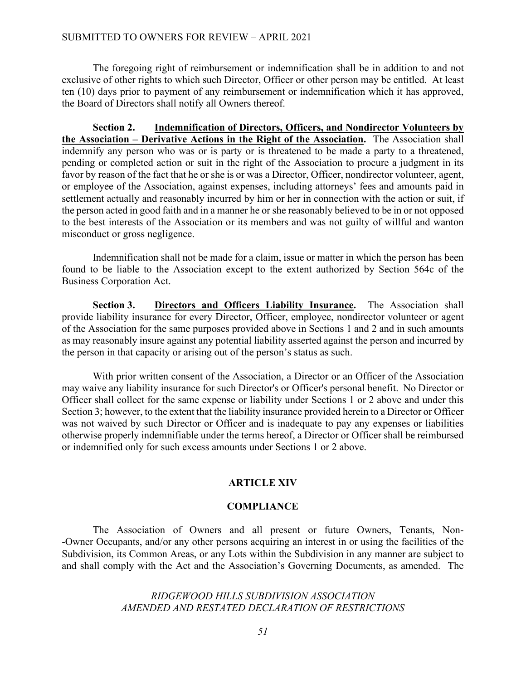The foregoing right of reimbursement or indemnification shall be in addition to and not exclusive of other rights to which such Director, Officer or other person may be entitled. At least ten (10) days prior to payment of any reimbursement or indemnification which it has approved, the Board of Directors shall notify all Owners thereof.

**Section 2. Indemnification of Directors, Officers, and Nondirector Volunteers by the Association – Derivative Actions in the Right of the Association.** The Association shall indemnify any person who was or is party or is threatened to be made a party to a threatened, pending or completed action or suit in the right of the Association to procure a judgment in its favor by reason of the fact that he or she is or was a Director, Officer, nondirector volunteer, agent, or employee of the Association, against expenses, including attorneys' fees and amounts paid in settlement actually and reasonably incurred by him or her in connection with the action or suit, if the person acted in good faith and in a manner he or she reasonably believed to be in or not opposed to the best interests of the Association or its members and was not guilty of willful and wanton misconduct or gross negligence.

Indemnification shall not be made for a claim, issue or matter in which the person has been found to be liable to the Association except to the extent authorized by Section 564c of the Business Corporation Act.

**Section 3. Directors and Officers Liability Insurance.** The Association shall provide liability insurance for every Director, Officer, employee, nondirector volunteer or agent of the Association for the same purposes provided above in Sections 1 and 2 and in such amounts as may reasonably insure against any potential liability asserted against the person and incurred by the person in that capacity or arising out of the person's status as such.

With prior written consent of the Association, a Director or an Officer of the Association may waive any liability insurance for such Director's or Officer's personal benefit. No Director or Officer shall collect for the same expense or liability under Sections 1 or 2 above and under this Section 3; however, to the extent that the liability insurance provided herein to a Director or Officer was not waived by such Director or Officer and is inadequate to pay any expenses or liabilities otherwise properly indemnifiable under the terms hereof, a Director or Officer shall be reimbursed or indemnified only for such excess amounts under Sections 1 or 2 above.

### **ARTICLE XIV**

#### **COMPLIANCE**

The Association of Owners and all present or future Owners, Tenants, Non- -Owner Occupants, and/or any other persons acquiring an interest in or using the facilities of the Subdivision, its Common Areas, or any Lots within the Subdivision in any manner are subject to and shall comply with the Act and the Association's Governing Documents, as amended. The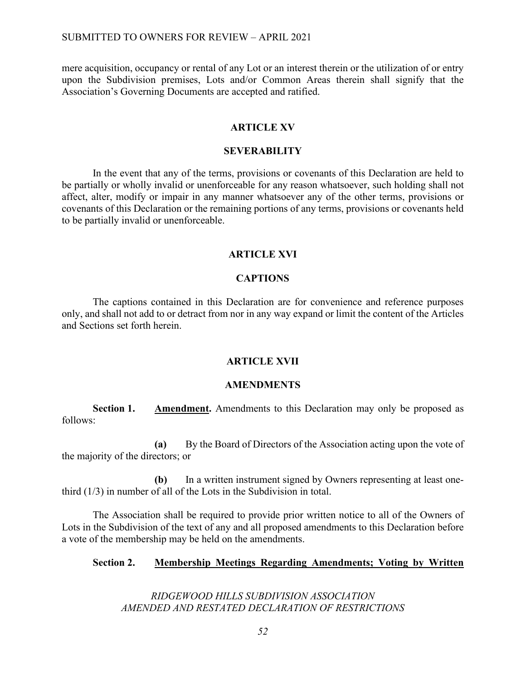mere acquisition, occupancy or rental of any Lot or an interest therein or the utilization of or entry upon the Subdivision premises, Lots and/or Common Areas therein shall signify that the Association's Governing Documents are accepted and ratified.

## **ARTICLE XV**

### **SEVERABILITY**

In the event that any of the terms, provisions or covenants of this Declaration are held to be partially or wholly invalid or unenforceable for any reason whatsoever, such holding shall not affect, alter, modify or impair in any manner whatsoever any of the other terms, provisions or covenants of this Declaration or the remaining portions of any terms, provisions or covenants held to be partially invalid or unenforceable.

#### **ARTICLE XVI**

#### **CAPTIONS**

The captions contained in this Declaration are for convenience and reference purposes only, and shall not add to or detract from nor in any way expand or limit the content of the Articles and Sections set forth herein.

#### **ARTICLE XVII**

#### **AMENDMENTS**

**Section 1. Amendment.** Amendments to this Declaration may only be proposed as follows:

**(a)** By the Board of Directors of the Association acting upon the vote of the majority of the directors; or

**(b)** In a written instrument signed by Owners representing at least onethird (1/3) in number of all of the Lots in the Subdivision in total.

The Association shall be required to provide prior written notice to all of the Owners of Lots in the Subdivision of the text of any and all proposed amendments to this Declaration before a vote of the membership may be held on the amendments.

### **Section 2. Membership Meetings Regarding Amendments; Voting by Written**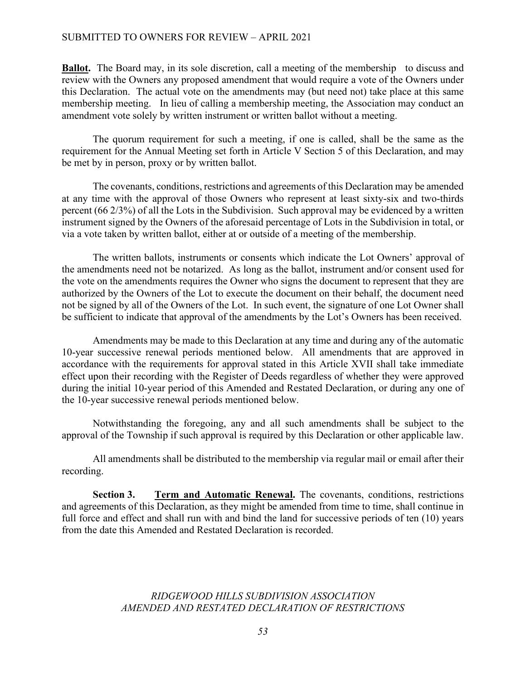### SUBMITTED TO OWNERS FOR REVIEW – APRIL 2021

**Ballot.** The Board may, in its sole discretion, call a meeting of the membership to discuss and review with the Owners any proposed amendment that would require a vote of the Owners under this Declaration. The actual vote on the amendments may (but need not) take place at this same membership meeting. In lieu of calling a membership meeting, the Association may conduct an amendment vote solely by written instrument or written ballot without a meeting.

The quorum requirement for such a meeting, if one is called, shall be the same as the requirement for the Annual Meeting set forth in Article V Section 5 of this Declaration, and may be met by in person, proxy or by written ballot.

The covenants, conditions, restrictions and agreements of this Declaration may be amended at any time with the approval of those Owners who represent at least sixty-six and two-thirds percent (66 2/3%) of all the Lots in the Subdivision. Such approval may be evidenced by a written instrument signed by the Owners of the aforesaid percentage of Lots in the Subdivision in total, or via a vote taken by written ballot, either at or outside of a meeting of the membership.

The written ballots, instruments or consents which indicate the Lot Owners' approval of the amendments need not be notarized. As long as the ballot, instrument and/or consent used for the vote on the amendments requires the Owner who signs the document to represent that they are authorized by the Owners of the Lot to execute the document on their behalf, the document need not be signed by all of the Owners of the Lot. In such event, the signature of one Lot Owner shall be sufficient to indicate that approval of the amendments by the Lot's Owners has been received.

Amendments may be made to this Declaration at any time and during any of the automatic 10-year successive renewal periods mentioned below. All amendments that are approved in accordance with the requirements for approval stated in this Article XVII shall take immediate effect upon their recording with the Register of Deeds regardless of whether they were approved during the initial 10-year period of this Amended and Restated Declaration, or during any one of the 10-year successive renewal periods mentioned below.

Notwithstanding the foregoing, any and all such amendments shall be subject to the approval of the Township if such approval is required by this Declaration or other applicable law.

All amendments shall be distributed to the membership via regular mail or email after their recording.

**Section 3. Term and Automatic Renewal.** The covenants, conditions, restrictions and agreements of this Declaration, as they might be amended from time to time, shall continue in full force and effect and shall run with and bind the land for successive periods of ten (10) years from the date this Amended and Restated Declaration is recorded.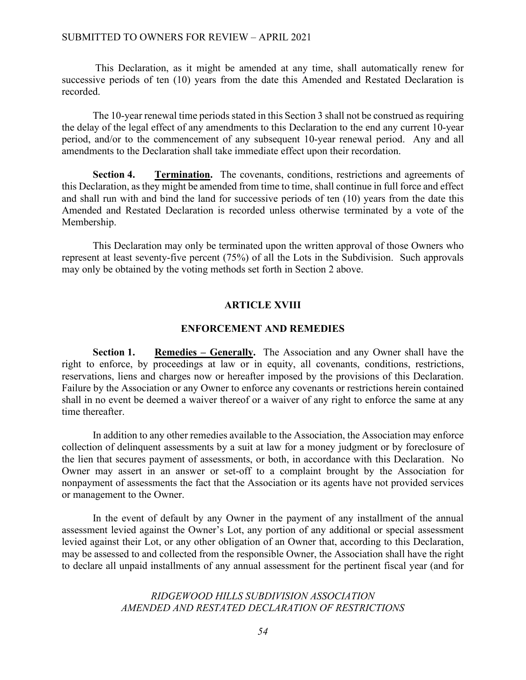### SUBMITTED TO OWNERS FOR REVIEW – APRIL 2021

This Declaration, as it might be amended at any time, shall automatically renew for successive periods of ten (10) years from the date this Amended and Restated Declaration is recorded.

The 10-year renewal time periods stated in this Section 3 shall not be construed as requiring the delay of the legal effect of any amendments to this Declaration to the end any current 10-year period, and/or to the commencement of any subsequent 10-year renewal period. Any and all amendments to the Declaration shall take immediate effect upon their recordation.

**Section 4. Termination.** The covenants, conditions, restrictions and agreements of this Declaration, as they might be amended from time to time, shall continue in full force and effect and shall run with and bind the land for successive periods of ten (10) years from the date this Amended and Restated Declaration is recorded unless otherwise terminated by a vote of the Membership.

This Declaration may only be terminated upon the written approval of those Owners who represent at least seventy-five percent (75%) of all the Lots in the Subdivision. Such approvals may only be obtained by the voting methods set forth in Section 2 above.

#### **ARTICLE XVIII**

#### **ENFORCEMENT AND REMEDIES**

**Section 1. Remedies – Generally.** The Association and any Owner shall have the right to enforce, by proceedings at law or in equity, all covenants, conditions, restrictions, reservations, liens and charges now or hereafter imposed by the provisions of this Declaration. Failure by the Association or any Owner to enforce any covenants or restrictions herein contained shall in no event be deemed a waiver thereof or a waiver of any right to enforce the same at any time thereafter.

In addition to any other remedies available to the Association, the Association may enforce collection of delinquent assessments by a suit at law for a money judgment or by foreclosure of the lien that secures payment of assessments, or both, in accordance with this Declaration. No Owner may assert in an answer or set-off to a complaint brought by the Association for nonpayment of assessments the fact that the Association or its agents have not provided services or management to the Owner.

In the event of default by any Owner in the payment of any installment of the annual assessment levied against the Owner's Lot, any portion of any additional or special assessment levied against their Lot, or any other obligation of an Owner that, according to this Declaration, may be assessed to and collected from the responsible Owner, the Association shall have the right to declare all unpaid installments of any annual assessment for the pertinent fiscal year (and for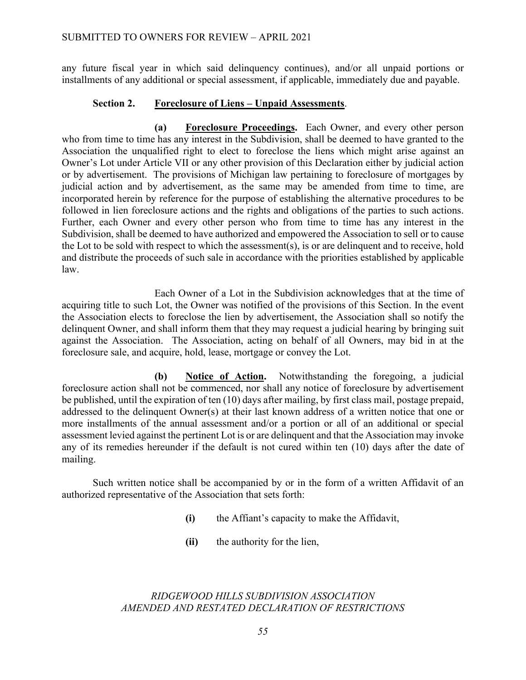any future fiscal year in which said delinquency continues), and/or all unpaid portions or installments of any additional or special assessment, if applicable, immediately due and payable.

### **Section 2. Foreclosure of Liens – Unpaid Assessments**.

**(a) Foreclosure Proceedings.** Each Owner, and every other person who from time to time has any interest in the Subdivision, shall be deemed to have granted to the Association the unqualified right to elect to foreclose the liens which might arise against an Owner's Lot under Article VII or any other provision of this Declaration either by judicial action or by advertisement. The provisions of Michigan law pertaining to foreclosure of mortgages by judicial action and by advertisement, as the same may be amended from time to time, are incorporated herein by reference for the purpose of establishing the alternative procedures to be followed in lien foreclosure actions and the rights and obligations of the parties to such actions. Further, each Owner and every other person who from time to time has any interest in the Subdivision, shall be deemed to have authorized and empowered the Association to sell or to cause the Lot to be sold with respect to which the assessment(s), is or are delinquent and to receive, hold and distribute the proceeds of such sale in accordance with the priorities established by applicable law.

Each Owner of a Lot in the Subdivision acknowledges that at the time of acquiring title to such Lot, the Owner was notified of the provisions of this Section. In the event the Association elects to foreclose the lien by advertisement, the Association shall so notify the delinquent Owner, and shall inform them that they may request a judicial hearing by bringing suit against the Association. The Association, acting on behalf of all Owners, may bid in at the foreclosure sale, and acquire, hold, lease, mortgage or convey the Lot.

**(b) Notice of Action.** Notwithstanding the foregoing, a judicial foreclosure action shall not be commenced, nor shall any notice of foreclosure by advertisement be published, until the expiration of ten (10) days after mailing, by first class mail, postage prepaid, addressed to the delinquent Owner(s) at their last known address of a written notice that one or more installments of the annual assessment and/or a portion or all of an additional or special assessment levied against the pertinent Lot is or are delinquent and that the Association may invoke any of its remedies hereunder if the default is not cured within ten (10) days after the date of mailing.

Such written notice shall be accompanied by or in the form of a written Affidavit of an authorized representative of the Association that sets forth:

- **(i)** the Affiant's capacity to make the Affidavit,
- **(ii)** the authority for the lien,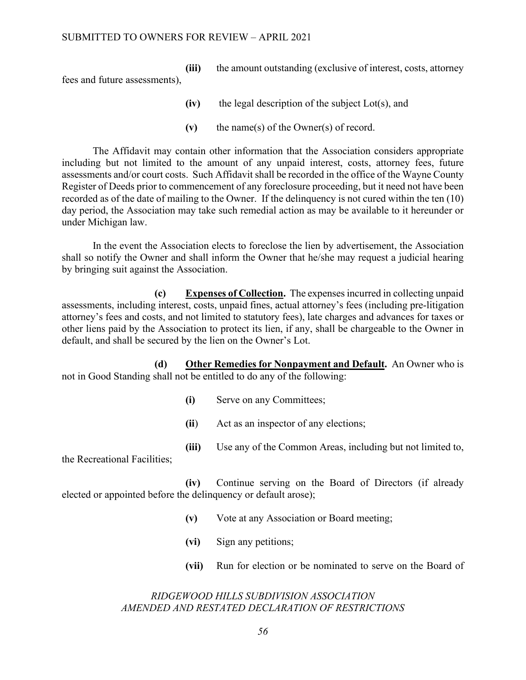**(iii)** the amount outstanding (exclusive of interest, costs, attorney fees and future assessments),

- **(iv)** the legal description of the subject Lot(s), and
- **(v)** the name(s) of the Owner(s) of record.

The Affidavit may contain other information that the Association considers appropriate including but not limited to the amount of any unpaid interest, costs, attorney fees, future assessments and/or court costs. Such Affidavit shall be recorded in the office of the Wayne County Register of Deeds prior to commencement of any foreclosure proceeding, but it need not have been recorded as of the date of mailing to the Owner. If the delinquency is not cured within the ten (10) day period, the Association may take such remedial action as may be available to it hereunder or under Michigan law.

In the event the Association elects to foreclose the lien by advertisement, the Association shall so notify the Owner and shall inform the Owner that he/she may request a judicial hearing by bringing suit against the Association.

**(c) Expenses of Collection.** The expenses incurred in collecting unpaid assessments, including interest, costs, unpaid fines, actual attorney's fees (including pre-litigation attorney's fees and costs, and not limited to statutory fees), late charges and advances for taxes or other liens paid by the Association to protect its lien, if any, shall be chargeable to the Owner in default, and shall be secured by the lien on the Owner's Lot.

**(d) Other Remedies for Nonpayment and Default.** An Owner who is not in Good Standing shall not be entitled to do any of the following:

- **(i)** Serve on any Committees;
- **(ii**) Act as an inspector of any elections;
- **(iii)** Use any of the Common Areas, including but not limited to,

the Recreational Facilities;

**(iv)** Continue serving on the Board of Directors (if already elected or appointed before the delinquency or default arose);

- **(v)** Vote at any Association or Board meeting;
- **(vi)** Sign any petitions;
- **(vii)** Run for election or be nominated to serve on the Board of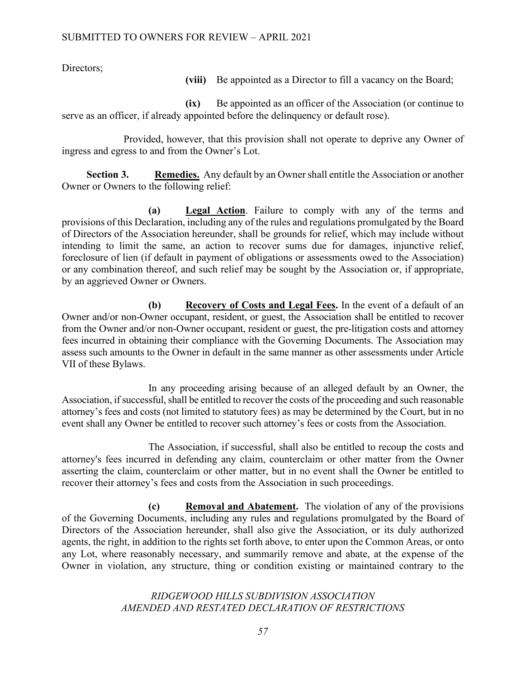Directors;

**(viii)** Be appointed as a Director to fill a vacancy on the Board;

**(ix)** Be appointed as an officer of the Association (or continue to serve as an officer, if already appointed before the delinquency or default rose).

Provided, however, that this provision shall not operate to deprive any Owner of ingress and egress to and from the Owner's Lot.

**Section 3. Remedies.** Any default by an Owner shall entitle the Association or another Owner or Owners to the following relief:

**(a) Legal Action**. Failure to comply with any of the terms and provisions of this Declaration, including any of the rules and regulations promulgated by the Board of Directors of the Association hereunder, shall be grounds for relief, which may include without intending to limit the same, an action to recover sums due for damages, injunctive relief, foreclosure of lien (if default in payment of obligations or assessments owed to the Association) or any combination thereof, and such relief may be sought by the Association or, if appropriate, by an aggrieved Owner or Owners.

**(b) Recovery of Costs and Legal Fees.** In the event of a default of an Owner and/or non-Owner occupant, resident, or guest, the Association shall be entitled to recover from the Owner and/or non-Owner occupant, resident or guest, the pre-litigation costs and attorney fees incurred in obtaining their compliance with the Governing Documents. The Association may assess such amounts to the Owner in default in the same manner as other assessments under Article VII of these Bylaws.

In any proceeding arising because of an alleged default by an Owner, the Association, if successful, shall be entitled to recover the costs of the proceeding and such reasonable attorney's fees and costs (not limited to statutory fees) as may be determined by the Court, but in no event shall any Owner be entitled to recover such attorney's fees or costs from the Association.

The Association, if successful, shall also be entitled to recoup the costs and attorney's fees incurred in defending any claim, counterclaim or other matter from the Owner asserting the claim, counterclaim or other matter, but in no event shall the Owner be entitled to recover their attorney's fees and costs from the Association in such proceedings.

**(c) Removal and Abatement.** The violation of any of the provisions of the Governing Documents, including any rules and regulations promulgated by the Board of Directors of the Association hereunder, shall also give the Association, or its duly authorized agents, the right, in addition to the rights set forth above, to enter upon the Common Areas, or onto any Lot, where reasonably necessary, and summarily remove and abate, at the expense of the Owner in violation, any structure, thing or condition existing or maintained contrary to the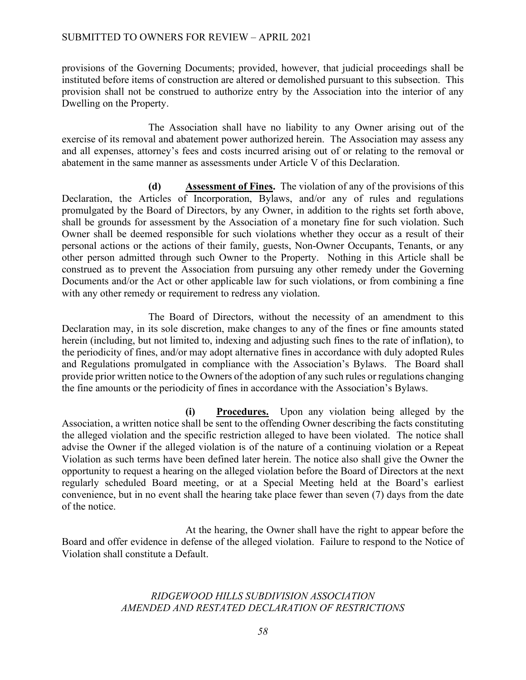provisions of the Governing Documents; provided, however, that judicial proceedings shall be instituted before items of construction are altered or demolished pursuant to this subsection. This provision shall not be construed to authorize entry by the Association into the interior of any Dwelling on the Property.

The Association shall have no liability to any Owner arising out of the exercise of its removal and abatement power authorized herein. The Association may assess any and all expenses, attorney's fees and costs incurred arising out of or relating to the removal or abatement in the same manner as assessments under Article V of this Declaration.

**(d) Assessment of Fines.** The violation of any of the provisions of this Declaration, the Articles of Incorporation, Bylaws, and/or any of rules and regulations promulgated by the Board of Directors, by any Owner, in addition to the rights set forth above, shall be grounds for assessment by the Association of a monetary fine for such violation. Such Owner shall be deemed responsible for such violations whether they occur as a result of their personal actions or the actions of their family, guests, Non-Owner Occupants, Tenants, or any other person admitted through such Owner to the Property. Nothing in this Article shall be construed as to prevent the Association from pursuing any other remedy under the Governing Documents and/or the Act or other applicable law for such violations, or from combining a fine with any other remedy or requirement to redress any violation.

The Board of Directors, without the necessity of an amendment to this Declaration may, in its sole discretion, make changes to any of the fines or fine amounts stated herein (including, but not limited to, indexing and adjusting such fines to the rate of inflation), to the periodicity of fines, and/or may adopt alternative fines in accordance with duly adopted Rules and Regulations promulgated in compliance with the Association's Bylaws. The Board shall provide prior written notice to the Owners of the adoption of any such rules or regulations changing the fine amounts or the periodicity of fines in accordance with the Association's Bylaws.

**(i) Procedures.** Upon any violation being alleged by the Association, a written notice shall be sent to the offending Owner describing the facts constituting the alleged violation and the specific restriction alleged to have been violated. The notice shall advise the Owner if the alleged violation is of the nature of a continuing violation or a Repeat Violation as such terms have been defined later herein. The notice also shall give the Owner the opportunity to request a hearing on the alleged violation before the Board of Directors at the next regularly scheduled Board meeting, or at a Special Meeting held at the Board's earliest convenience, but in no event shall the hearing take place fewer than seven (7) days from the date of the notice.

At the hearing, the Owner shall have the right to appear before the Board and offer evidence in defense of the alleged violation. Failure to respond to the Notice of Violation shall constitute a Default.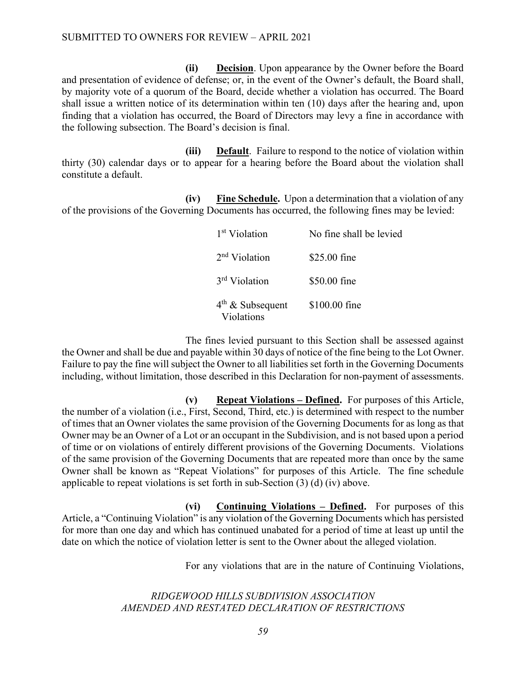**(ii) Decision**. Upon appearance by the Owner before the Board and presentation of evidence of defense; or, in the event of the Owner's default, the Board shall, by majority vote of a quorum of the Board, decide whether a violation has occurred. The Board shall issue a written notice of its determination within ten (10) days after the hearing and, upon finding that a violation has occurred, the Board of Directors may levy a fine in accordance with the following subsection. The Board's decision is final.

**(iii) Default**. Failure to respond to the notice of violation within thirty (30) calendar days or to appear for a hearing before the Board about the violation shall constitute a default.

**(iv) Fine Schedule.** Upon a determination that a violation of any of the provisions of the Governing Documents has occurred, the following fines may be levied:

| 1 <sup>st</sup> Violation        | No fine shall be levied |
|----------------------------------|-------------------------|
| $2nd$ Violation                  | \$25.00 fine            |
| 3 <sup>rd</sup> Violation        | \$50.00 fine            |
| $4th$ & Subsequent<br>Violations | \$100.00 fine           |

The fines levied pursuant to this Section shall be assessed against the Owner and shall be due and payable within 30 days of notice of the fine being to the Lot Owner. Failure to pay the fine will subject the Owner to all liabilities set forth in the Governing Documents including, without limitation, those described in this Declaration for non-payment of assessments.

**(v) Repeat Violations – Defined.** For purposes of this Article, the number of a violation (i.e., First, Second, Third, etc.) is determined with respect to the number of times that an Owner violates the same provision of the Governing Documents for as long as that Owner may be an Owner of a Lot or an occupant in the Subdivision, and is not based upon a period of time or on violations of entirely different provisions of the Governing Documents. Violations of the same provision of the Governing Documents that are repeated more than once by the same Owner shall be known as "Repeat Violations" for purposes of this Article. The fine schedule applicable to repeat violations is set forth in sub-Section (3) (d) (iv) above.

**(vi) Continuing Violations – Defined.** For purposes of this Article, a "Continuing Violation" is any violation of the Governing Documents which has persisted for more than one day and which has continued unabated for a period of time at least up until the date on which the notice of violation letter is sent to the Owner about the alleged violation.

For any violations that are in the nature of Continuing Violations,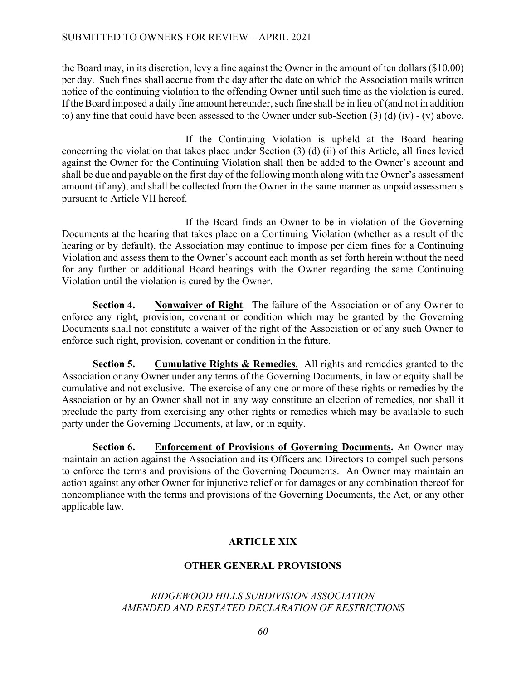the Board may, in its discretion, levy a fine against the Owner in the amount of ten dollars (\$10.00) per day. Such fines shall accrue from the day after the date on which the Association mails written notice of the continuing violation to the offending Owner until such time as the violation is cured. If the Board imposed a daily fine amount hereunder, such fine shall be in lieu of (and not in addition to) any fine that could have been assessed to the Owner under sub-Section (3) (d) (iv) - (v) above.

If the Continuing Violation is upheld at the Board hearing concerning the violation that takes place under Section (3) (d) (ii) of this Article, all fines levied against the Owner for the Continuing Violation shall then be added to the Owner's account and shall be due and payable on the first day of the following month along with the Owner's assessment amount (if any), and shall be collected from the Owner in the same manner as unpaid assessments pursuant to Article VII hereof.

If the Board finds an Owner to be in violation of the Governing Documents at the hearing that takes place on a Continuing Violation (whether as a result of the hearing or by default), the Association may continue to impose per diem fines for a Continuing Violation and assess them to the Owner's account each month as set forth herein without the need for any further or additional Board hearings with the Owner regarding the same Continuing Violation until the violation is cured by the Owner.

 **Section 4. Nonwaiver of Right**. The failure of the Association or of any Owner to enforce any right, provision, covenant or condition which may be granted by the Governing Documents shall not constitute a waiver of the right of the Association or of any such Owner to enforce such right, provision, covenant or condition in the future.

**Section 5. Cumulative Rights & Remedies**. All rights and remedies granted to the Association or any Owner under any terms of the Governing Documents, in law or equity shall be cumulative and not exclusive. The exercise of any one or more of these rights or remedies by the Association or by an Owner shall not in any way constitute an election of remedies, nor shall it preclude the party from exercising any other rights or remedies which may be available to such party under the Governing Documents, at law, or in equity.

**Section 6. Enforcement of Provisions of Governing Documents.** An Owner may maintain an action against the Association and its Officers and Directors to compel such persons to enforce the terms and provisions of the Governing Documents. An Owner may maintain an action against any other Owner for injunctive relief or for damages or any combination thereof for noncompliance with the terms and provisions of the Governing Documents, the Act, or any other applicable law.

## **ARTICLE XIX**

## **OTHER GENERAL PROVISIONS**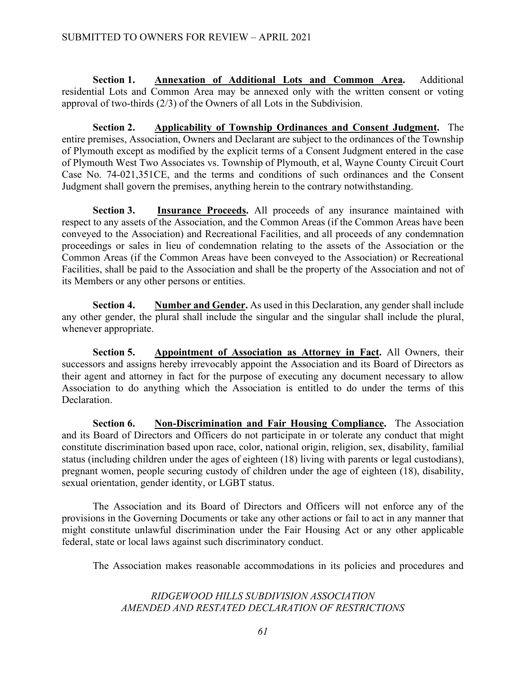**Section 1. Annexation of Additional Lots and Common Area.** Additional residential Lots and Common Area may be annexed only with the written consent or voting approval of two-thirds (2/3) of the Owners of all Lots in the Subdivision.

**Section 2. Applicability of Township Ordinances and Consent Judgment.** The entire premises, Association, Owners and Declarant are subject to the ordinances of the Township of Plymouth except as modified by the explicit terms of a Consent Judgment entered in the case of Plymouth West Two Associates vs. Township of Plymouth, et al, Wayne County Circuit Court Case No. 74-021,351CE, and the terms and conditions of such ordinances and the Consent Judgment shall govern the premises, anything herein to the contrary notwithstanding.

**Section 3. Insurance Proceeds.** All proceeds of any insurance maintained with respect to any assets of the Association, and the Common Areas (if the Common Areas have been conveyed to the Association) and Recreational Facilities, and all proceeds of any condemnation proceedings or sales in lieu of condemnation relating to the assets of the Association or the Common Areas (if the Common Areas have been conveyed to the Association) or Recreational Facilities, shall be paid to the Association and shall be the property of the Association and not of its Members or any other persons or entities.

**Section 4. Number and Gender.** As used in this Declaration, any gender shall include any other gender, the plural shall include the singular and the singular shall include the plural, whenever appropriate.

**Section 5. Appointment of Association as Attorney in Fact.** All Owners, their successors and assigns hereby irrevocably appoint the Association and its Board of Directors as their agent and attorney in fact for the purpose of executing any document necessary to allow Association to do anything which the Association is entitled to do under the terms of this **Declaration** 

**Section 6. Non-Discrimination and Fair Housing Compliance.** The Association and its Board of Directors and Officers do not participate in or tolerate any conduct that might constitute discrimination based upon race, color, national origin, religion, sex, disability, familial status (including children under the ages of eighteen (18) living with parents or legal custodians), pregnant women, people securing custody of children under the age of eighteen (18), disability, sexual orientation, gender identity, or LGBT status.

The Association and its Board of Directors and Officers will not enforce any of the provisions in the Governing Documents or take any other actions or fail to act in any manner that might constitute unlawful discrimination under the Fair Housing Act or any other applicable federal, state or local laws against such discriminatory conduct.

The Association makes reasonable accommodations in its policies and procedures and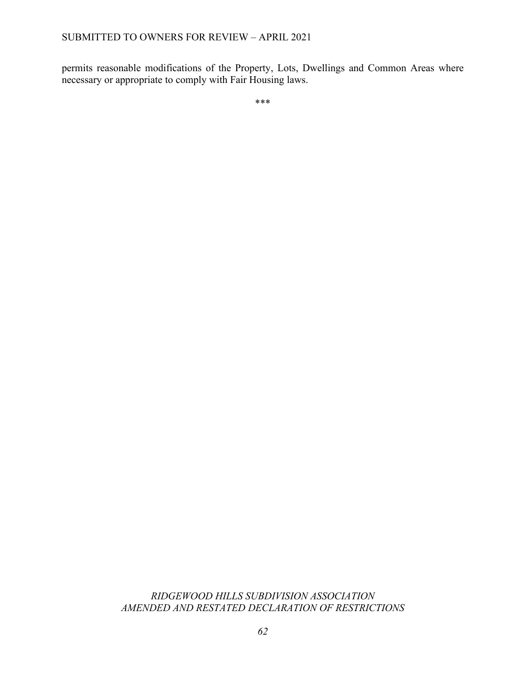permits reasonable modifications of the Property, Lots, Dwellings and Common Areas where necessary or appropriate to comply with Fair Housing laws.

\*\*\*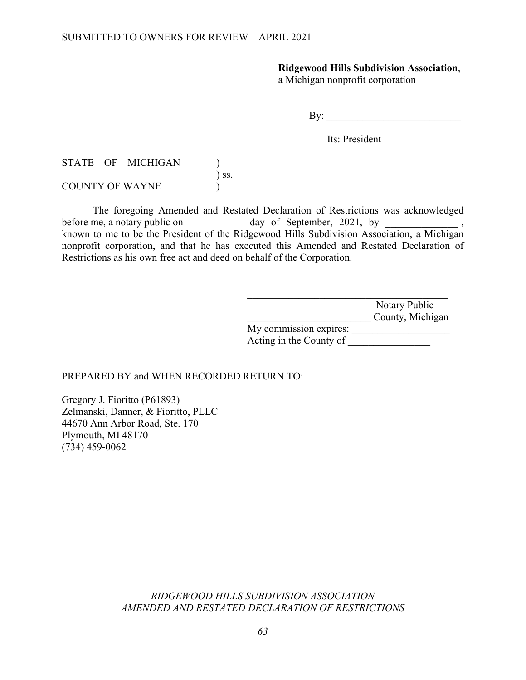## **Ridgewood Hills Subdivision Association**,

a Michigan nonprofit corporation

 $\mathbf{By:}$ 

Its: President

STATE OF MICHIGAN )  $\overline{\phantom{a}}$  ss. COUNTY OF WAYNE

The foregoing Amended and Restated Declaration of Restrictions was acknowledged before me, a notary public on  $\_\_\_\_\_\_\$  day of September, 2021, by  $\_\_\_\_\_\_\_\_\_\_\_\_\_$ known to me to be the President of the Ridgewood Hills Subdivision Association, a Michigan nonprofit corporation, and that he has executed this Amended and Restated Declaration of Restrictions as his own free act and deed on behalf of the Corporation.

|                         | Notary Public    |
|-------------------------|------------------|
|                         | County, Michigan |
| My commission expires:  |                  |
| Acting in the County of |                  |

PREPARED BY and WHEN RECORDED RETURN TO:

Gregory J. Fioritto (P61893) Zelmanski, Danner, & Fioritto, PLLC 44670 Ann Arbor Road, Ste. 170 Plymouth, MI 48170 (734) 459-0062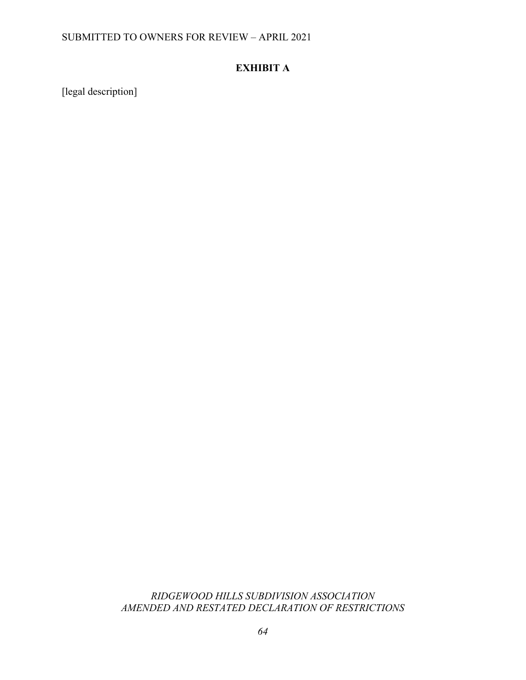## SUBMITTED TO OWNERS FOR REVIEW – APRIL 2021

# **EXHIBIT A**

[legal description]